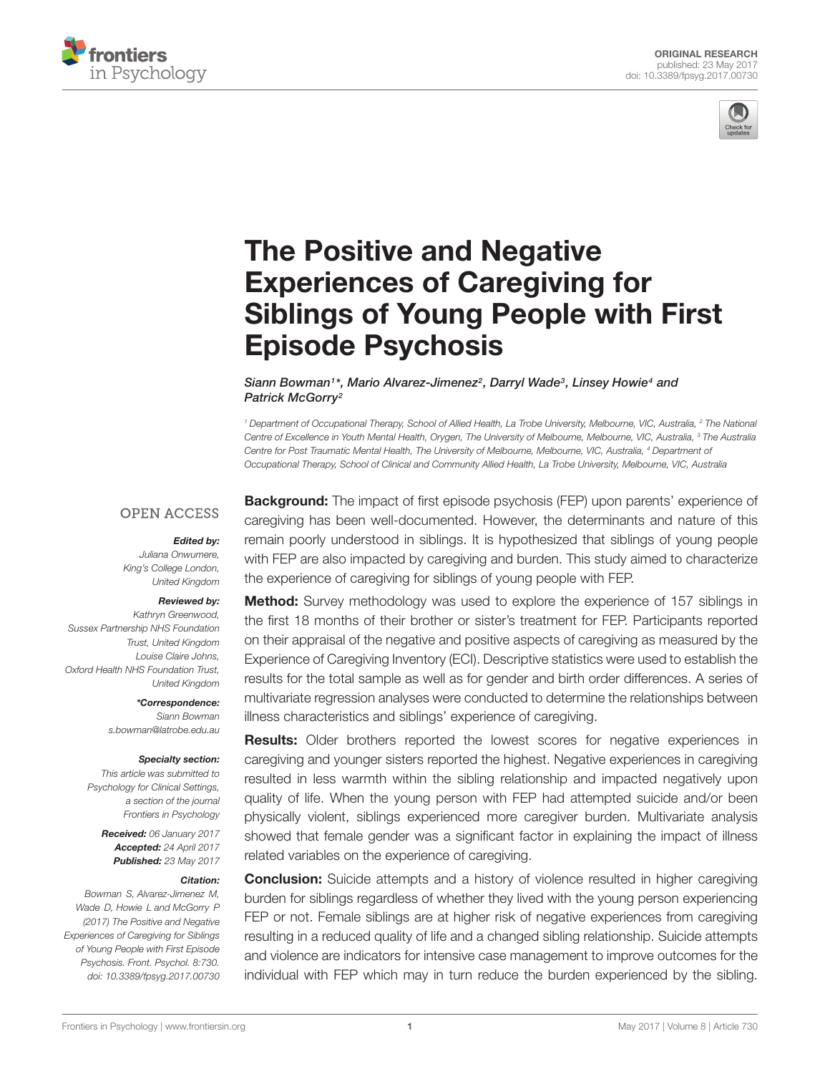



# The Positive and Negative Experiences of Caregiving for [Siblings of Young People with First](http://journal.frontiersin.org/article/10.3389/fpsyg.2017.00730/abstract) Episode Psychosis

[Siann Bowman](http://loop.frontiersin.org/people/358846/overview)1\*, Mario Alvarez-Jimenez<sup>2</sup>, Darryl Wade<sup>3</sup>, Linsey Howie<sup>4</sup> and Patrick McGorry<sup>2</sup>

<sup>1</sup> Department of Occupational Therapy, School of Allied Health, La Trobe University, Melbourne, VIC, Australia, <sup>2</sup> The National Centre of Excellence in Youth Mental Health, Orygen, The University of Melbourne, Melbourne, VIC, Australia, <sup>3</sup> The Australia Centre for Post Traumatic Mental Health, The University of Melbourne, Melbourne, VIC, Australia, <sup>4</sup> Department of Occupational Therapy, School of Clinical and Community Allied Health, La Trobe University, Melbourne, VIC, Australia

### **OPEN ACCESS**

#### Edited by:

Juliana Onwumere, King's College London, United Kingdom

#### Reviewed by:

Kathryn Greenwood, Sussex Partnership NHS Foundation Trust, United Kingdom Louise Claire Johns, Oxford Health NHS Foundation Trust, United Kingdom

> \*Correspondence: Siann Bowman s.bowman@latrobe.edu.au

#### Specialty section:

This article was submitted to Psychology for Clinical Settings, a section of the journal Frontiers in Psychology

> Received: 06 January 2017 Accepted: 24 April 2017 Published: 23 May 2017

#### Citation:

Bowman S, Alvarez-Jimenez M, Wade D, Howie L and McGorry P (2017) The Positive and Negative Experiences of Caregiving for Siblings of Young People with First Episode Psychosis. Front. Psychol. 8:730. doi: [10.3389/fpsyg.2017.00730](https://doi.org/10.3389/fpsyg.2017.00730) **Background:** The impact of first episode psychosis (FEP) upon parents' experience of caregiving has been well-documented. However, the determinants and nature of this remain poorly understood in siblings. It is hypothesized that siblings of young people with FEP are also impacted by caregiving and burden. This study aimed to characterize the experience of caregiving for siblings of young people with FEP.

**Method:** Survey methodology was used to explore the experience of 157 siblings in the first 18 months of their brother or sister's treatment for FEP. Participants reported on their appraisal of the negative and positive aspects of caregiving as measured by the Experience of Caregiving Inventory (ECI). Descriptive statistics were used to establish the results for the total sample as well as for gender and birth order differences. A series of multivariate regression analyses were conducted to determine the relationships between illness characteristics and siblings' experience of caregiving.

**Results:** Older brothers reported the lowest scores for negative experiences in caregiving and younger sisters reported the highest. Negative experiences in caregiving resulted in less warmth within the sibling relationship and impacted negatively upon quality of life. When the young person with FEP had attempted suicide and/or been physically violent, siblings experienced more caregiver burden. Multivariate analysis showed that female gender was a significant factor in explaining the impact of illness related variables on the experience of caregiving.

**Conclusion:** Suicide attempts and a history of violence resulted in higher caregiving burden for siblings regardless of whether they lived with the young person experiencing FEP or not. Female siblings are at higher risk of negative experiences from caregiving resulting in a reduced quality of life and a changed sibling relationship. Suicide attempts and violence are indicators for intensive case management to improve outcomes for the individual with FEP which may in turn reduce the burden experienced by the sibling.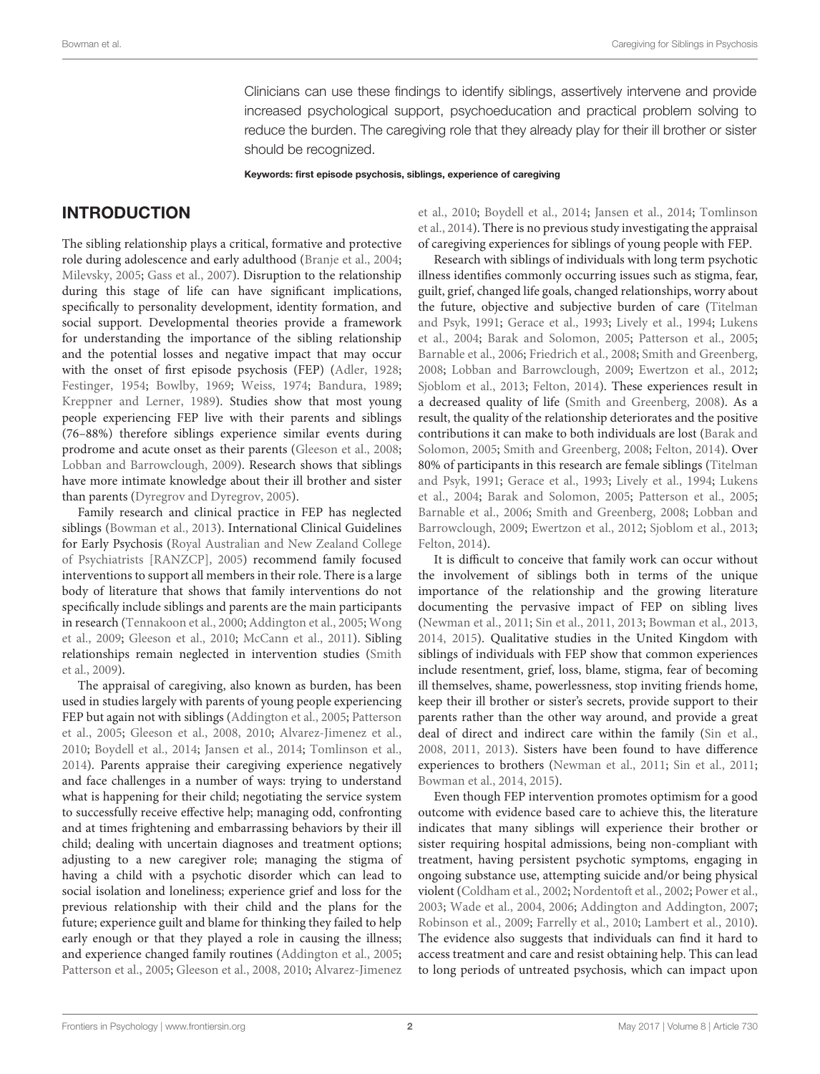Clinicians can use these findings to identify siblings, assertively intervene and provide increased psychological support, psychoeducation and practical problem solving to reduce the burden. The caregiving role that they already play for their ill brother or sister should be recognized.

Keywords: first episode psychosis, siblings, experience of caregiving

# INTRODUCTION

The sibling relationship plays a critical, formative and protective role during adolescence and early adulthood [\(Branje et al.,](#page-11-0) [2004;](#page-11-0) [Milevsky,](#page-12-0) [2005;](#page-12-0) [Gass et al.,](#page-11-1) [2007\)](#page-11-1). Disruption to the relationship during this stage of life can have significant implications, specifically to personality development, identity formation, and social support. Developmental theories provide a framework for understanding the importance of the sibling relationship and the potential losses and negative impact that may occur with the onset of first episode psychosis (FEP) [\(Adler,](#page-11-2) [1928;](#page-11-2) [Festinger,](#page-11-3) [1954;](#page-11-3) [Bowlby,](#page-11-4) [1969;](#page-11-4) [Weiss,](#page-13-0) [1974;](#page-13-0) [Bandura,](#page-11-5) [1989;](#page-11-5) [Kreppner and Lerner,](#page-12-1) [1989\)](#page-12-1). Studies show that most young people experiencing FEP live with their parents and siblings (76–88%) therefore siblings experience similar events during prodrome and acute onset as their parents [\(Gleeson et al.,](#page-11-6) [2008;](#page-11-6) [Lobban and Barrowclough,](#page-12-2) [2009\)](#page-12-2). Research shows that siblings have more intimate knowledge about their ill brother and sister than parents [\(Dyregrov and Dyregrov,](#page-11-7) [2005\)](#page-11-7).

Family research and clinical practice in FEP has neglected siblings [\(Bowman et al.,](#page-11-8) [2013\)](#page-11-8). International Clinical Guidelines for Early Psychosis [\(Royal Australian and New Zealand College](#page-12-3) [of Psychiatrists \[RANZCP\],](#page-12-3) [2005\)](#page-12-3) recommend family focused interventions to support all members in their role. There is a large body of literature that shows that family interventions do not specifically include siblings and parents are the main participants in research [\(Tennakoon et al.,](#page-13-1) [2000;](#page-13-1) [Addington et al.,](#page-11-9) [2005;](#page-11-9) [Wong](#page-13-2) [et al.,](#page-13-2) [2009;](#page-13-2) [Gleeson et al.,](#page-11-10) [2010;](#page-11-10) [McCann et al.,](#page-12-4) [2011\)](#page-12-4). Sibling relationships remain neglected in intervention studies [\(Smith](#page-12-5) [et al.,](#page-12-5) [2009\)](#page-12-5).

The appraisal of caregiving, also known as burden, has been used in studies largely with parents of young people experiencing FEP but again not with siblings [\(Addington et al.,](#page-11-9) [2005;](#page-11-9) [Patterson](#page-12-6) [et al.,](#page-12-6) [2005;](#page-12-6) [Gleeson et al.,](#page-11-6) [2008,](#page-11-6) [2010;](#page-11-10) [Alvarez-Jimenez et al.,](#page-11-11) [2010;](#page-11-11) [Boydell et al.,](#page-11-12) [2014;](#page-11-12) [Jansen et al.,](#page-12-7) [2014;](#page-12-7) [Tomlinson et al.,](#page-13-3) [2014\)](#page-13-3). Parents appraise their caregiving experience negatively and face challenges in a number of ways: trying to understand what is happening for their child; negotiating the service system to successfully receive effective help; managing odd, confronting and at times frightening and embarrassing behaviors by their ill child; dealing with uncertain diagnoses and treatment options; adjusting to a new caregiver role; managing the stigma of having a child with a psychotic disorder which can lead to social isolation and loneliness; experience grief and loss for the previous relationship with their child and the plans for the future; experience guilt and blame for thinking they failed to help early enough or that they played a role in causing the illness; and experience changed family routines [\(Addington et al.,](#page-11-9) [2005;](#page-11-9) [Patterson et al.,](#page-12-6) [2005;](#page-12-6) [Gleeson et al.,](#page-11-6) [2008,](#page-11-6) [2010;](#page-11-10) [Alvarez-Jimenez](#page-11-11)

[et al.,](#page-11-11) [2010;](#page-11-11) [Boydell et al.,](#page-11-12) [2014;](#page-11-12) [Jansen et al.,](#page-12-7) [2014;](#page-12-7) [Tomlinson](#page-13-3) [et al.,](#page-13-3) [2014\)](#page-13-3). There is no previous study investigating the appraisal of caregiving experiences for siblings of young people with FEP.

Research with siblings of individuals with long term psychotic illness identifies commonly occurring issues such as stigma, fear, guilt, grief, changed life goals, changed relationships, worry about the future, objective and subjective burden of care [\(Titelman](#page-13-4) [and Psyk,](#page-13-4) [1991;](#page-13-4) [Gerace et al.,](#page-11-13) [1993;](#page-11-13) [Lively et al.,](#page-12-8) [1994;](#page-12-8) [Lukens](#page-12-9) [et al.,](#page-12-9) [2004;](#page-12-9) [Barak and Solomon,](#page-11-14) [2005;](#page-11-14) [Patterson et al.,](#page-12-6) [2005;](#page-12-6) [Barnable et al.,](#page-11-15) [2006;](#page-11-15) [Friedrich et al.,](#page-11-16) [2008;](#page-11-16) [Smith and Greenberg,](#page-13-5) [2008;](#page-13-5) [Lobban and Barrowclough,](#page-12-2) [2009;](#page-12-2) [Ewertzon et al.,](#page-11-17) [2012;](#page-11-17) [Sjoblom et al.,](#page-12-10) [2013;](#page-12-10) [Felton,](#page-11-18) [2014\)](#page-11-18). These experiences result in a decreased quality of life [\(Smith and Greenberg,](#page-13-5) [2008\)](#page-13-5). As a result, the quality of the relationship deteriorates and the positive contributions it can make to both individuals are lost [\(Barak and](#page-11-14) [Solomon,](#page-11-14) [2005;](#page-11-14) [Smith and Greenberg,](#page-13-5) [2008;](#page-13-5) [Felton,](#page-11-18) [2014\)](#page-11-18). Over 80% of participants in this research are female siblings [\(Titelman](#page-13-4) [and Psyk,](#page-13-4) [1991;](#page-13-4) [Gerace et al.,](#page-11-13) [1993;](#page-11-13) [Lively et al.,](#page-12-8) [1994;](#page-12-8) [Lukens](#page-12-9) [et al.,](#page-12-9) [2004;](#page-12-9) [Barak and Solomon,](#page-11-14) [2005;](#page-11-14) [Patterson et al.,](#page-12-6) [2005;](#page-12-6) [Barnable et al.,](#page-11-15) [2006;](#page-11-15) [Smith and Greenberg,](#page-13-5) [2008;](#page-13-5) [Lobban and](#page-12-2) [Barrowclough,](#page-12-2) [2009;](#page-12-2) [Ewertzon et al.,](#page-11-17) [2012;](#page-11-17) [Sjoblom et al.,](#page-12-10) [2013;](#page-12-10) [Felton,](#page-11-18) [2014\)](#page-11-18).

It is difficult to conceive that family work can occur without the involvement of siblings both in terms of the unique importance of the relationship and the growing literature documenting the pervasive impact of FEP on sibling lives [\(Newman et al.,](#page-12-11) [2011;](#page-12-11) [Sin et al.,](#page-12-12) [2011,](#page-12-12) [2013;](#page-12-13) [Bowman et al.,](#page-11-8) [2013,](#page-11-8) [2014,](#page-11-19) [2015\)](#page-11-20). Qualitative studies in the United Kingdom with siblings of individuals with FEP show that common experiences include resentment, grief, loss, blame, stigma, fear of becoming ill themselves, shame, powerlessness, stop inviting friends home, keep their ill brother or sister's secrets, provide support to their parents rather than the other way around, and provide a great deal of direct and indirect care within the family [\(Sin et al.,](#page-12-14) [2008,](#page-12-14) [2011,](#page-12-12) [2013\)](#page-12-13). Sisters have been found to have difference experiences to brothers [\(Newman et al.,](#page-12-11) [2011;](#page-12-11) [Sin et al.,](#page-12-12) [2011;](#page-12-12) [Bowman et al.,](#page-11-19) [2014,](#page-11-19) [2015\)](#page-11-20).

Even though FEP intervention promotes optimism for a good outcome with evidence based care to achieve this, the literature indicates that many siblings will experience their brother or sister requiring hospital admissions, being non-compliant with treatment, having persistent psychotic symptoms, engaging in ongoing substance use, attempting suicide and/or being physical violent [\(Coldham et al.,](#page-11-21) [2002;](#page-11-21) [Nordentoft et al.,](#page-12-15) [2002;](#page-12-15) [Power et al.,](#page-12-16) [2003;](#page-12-16) [Wade et al.,](#page-13-6) [2004,](#page-13-6) [2006;](#page-13-7) [Addington and Addington,](#page-11-22) [2007;](#page-11-22) [Robinson et al.,](#page-12-17) [2009;](#page-12-17) [Farrelly et al.,](#page-11-23) [2010;](#page-11-23) [Lambert et al.,](#page-12-18) [2010\)](#page-12-18). The evidence also suggests that individuals can find it hard to access treatment and care and resist obtaining help. This can lead to long periods of untreated psychosis, which can impact upon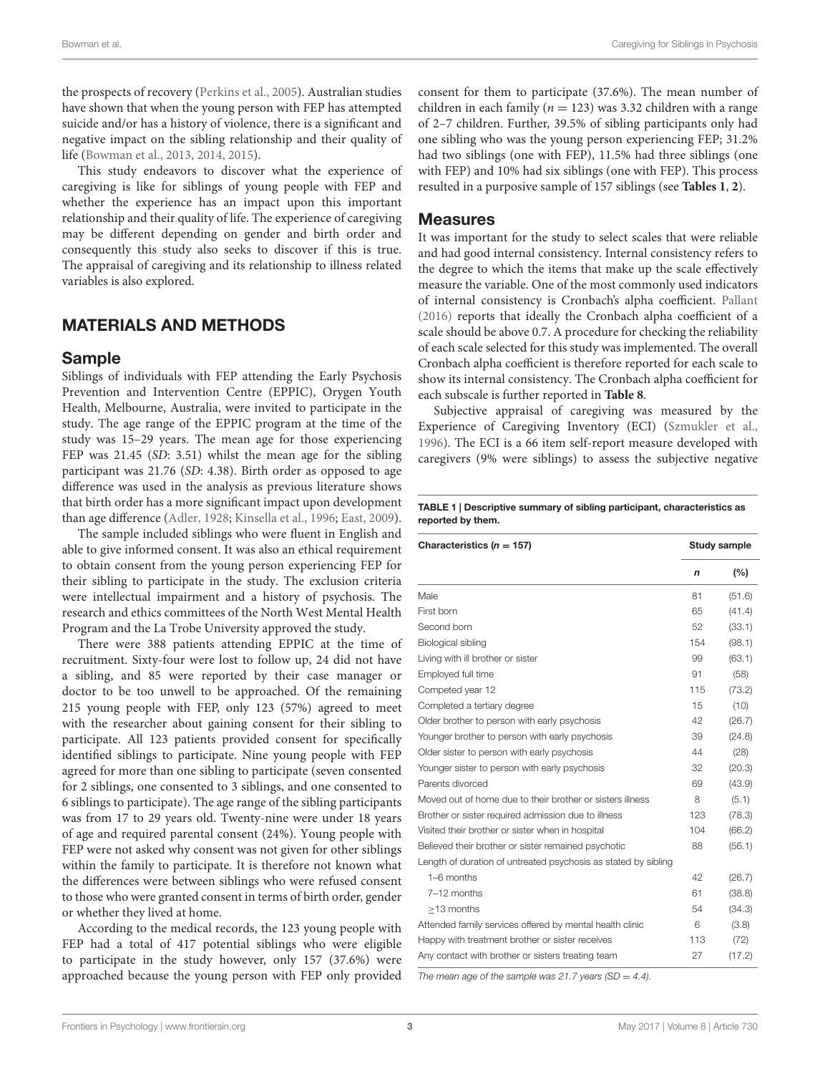the prospects of recovery [\(Perkins et al.,](#page-12-19) [2005\)](#page-12-19). Australian studies have shown that when the young person with FEP has attempted suicide and/or has a history of violence, there is a significant and negative impact on the sibling relationship and their quality of life [\(Bowman et al.,](#page-11-8) [2013,](#page-11-8) [2014,](#page-11-19) [2015\)](#page-11-20).

This study endeavors to discover what the experience of caregiving is like for siblings of young people with FEP and whether the experience has an impact upon this important relationship and their quality of life. The experience of caregiving may be different depending on gender and birth order and consequently this study also seeks to discover if this is true. The appraisal of caregiving and its relationship to illness related variables is also explored.

# MATERIALS AND METHODS

### Sample

Siblings of individuals with FEP attending the Early Psychosis Prevention and Intervention Centre (EPPIC), Orygen Youth Health, Melbourne, Australia, were invited to participate in the study. The age range of the EPPIC program at the time of the study was 15–29 years. The mean age for those experiencing FEP was 21.45 (SD: 3.51) whilst the mean age for the sibling participant was 21.76 (SD: 4.38). Birth order as opposed to age difference was used in the analysis as previous literature shows that birth order has a more significant impact upon development than age difference [\(Adler,](#page-11-2) [1928;](#page-11-2) [Kinsella et al.,](#page-12-20) [1996;](#page-12-20) [East,](#page-11-24) [2009\)](#page-11-24).

The sample included siblings who were fluent in English and able to give informed consent. It was also an ethical requirement to obtain consent from the young person experiencing FEP for their sibling to participate in the study. The exclusion criteria were intellectual impairment and a history of psychosis. The research and ethics committees of the North West Mental Health Program and the La Trobe University approved the study.

There were 388 patients attending EPPIC at the time of recruitment. Sixty-four were lost to follow up, 24 did not have a sibling, and 85 were reported by their case manager or doctor to be too unwell to be approached. Of the remaining 215 young people with FEP, only 123 (57%) agreed to meet with the researcher about gaining consent for their sibling to participate. All 123 patients provided consent for specifically identified siblings to participate. Nine young people with FEP agreed for more than one sibling to participate (seven consented for 2 siblings, one consented to 3 siblings, and one consented to 6 siblings to participate). The age range of the sibling participants was from 17 to 29 years old. Twenty-nine were under 18 years of age and required parental consent (24%). Young people with FEP were not asked why consent was not given for other siblings within the family to participate. It is therefore not known what the differences were between siblings who were refused consent to those who were granted consent in terms of birth order, gender or whether they lived at home.

According to the medical records, the 123 young people with FEP had a total of 417 potential siblings who were eligible to participate in the study however, only 157 (37.6%) were approached because the young person with FEP only provided consent for them to participate (37.6%). The mean number of children in each family ( $n = 123$ ) was 3.32 children with a range of 2–7 children. Further, 39.5% of sibling participants only had one sibling who was the young person experiencing FEP; 31.2% had two siblings (one with FEP), 11.5% had three siblings (one with FEP) and 10% had six siblings (one with FEP). This process resulted in a purposive sample of 157 siblings (see **[Tables 1](#page-2-0)**, **[2](#page-3-0)**).

### Measures

It was important for the study to select scales that were reliable and had good internal consistency. Internal consistency refers to the degree to which the items that make up the scale effectively measure the variable. One of the most commonly used indicators of internal consistency is Cronbach's alpha coefficient. [Pallant](#page-12-21) [\(2016\)](#page-12-21) reports that ideally the Cronbach alpha coefficient of a scale should be above 0.7. A procedure for checking the reliability of each scale selected for this study was implemented. The overall Cronbach alpha coefficient is therefore reported for each scale to show its internal consistency. The Cronbach alpha coefficient for each subscale is further reported in **[Table 8](#page-7-0)**.

Subjective appraisal of caregiving was measured by the Experience of Caregiving Inventory (ECI) [\(Szmukler et al.,](#page-13-8) [1996\)](#page-13-8). The ECI is a 66 item self-report measure developed with caregivers (9% were siblings) to assess the subjective negative

<span id="page-2-0"></span>TABLE 1 | Descriptive summary of sibling participant, characteristics as reported by them.

| Characteristics ( $n = 157$ )                                  | Study sample |        |  |
|----------------------------------------------------------------|--------------|--------|--|
|                                                                | $\mathsf{n}$ | (%)    |  |
| Male                                                           | 81           | (51.6) |  |
| First born                                                     | 65           | (41.4) |  |
| Second born                                                    | 52           | (33.1) |  |
| Biological sibling                                             | 154          | (98.1) |  |
| Living with ill brother or sister                              | 99           | (63.1) |  |
| Employed full time                                             | 91           | (58)   |  |
| Competed year 12                                               | 115          | (73.2) |  |
| Completed a tertiary degree                                    | 15           | (10)   |  |
| Older brother to person with early psychosis                   | 42           | (26.7) |  |
| Younger brother to person with early psychosis                 | 39           | (24.8) |  |
| Older sister to person with early psychosis                    | 44           | (28)   |  |
| Younger sister to person with early psychosis                  | 32           | (20.3) |  |
| Parents divorced                                               | 69           | (43.9) |  |
| Moved out of home due to their brother or sisters illness      | 8            | (5.1)  |  |
| Brother or sister required admission due to illness            | 123          | (78.3) |  |
| Visited their brother or sister when in hospital               | 104          | (66.2) |  |
| Believed their brother or sister remained psychotic            | 88           | (56.1) |  |
| Length of duration of untreated psychosis as stated by sibling |              |        |  |
| 1-6 months                                                     | 42           | (26.7) |  |
| 7-12 months                                                    | 61           | (38.8) |  |
| >13 months                                                     | 54           | (34.3) |  |
| Attended family services offered by mental health clinic       | 6            | (3.8)  |  |
| Happy with treatment brother or sister receives                | 113          | (72)   |  |
| Any contact with brother or sisters treating team              | 27           | (17.2) |  |

The mean age of the sample was 21.7 years (SD = 4.4).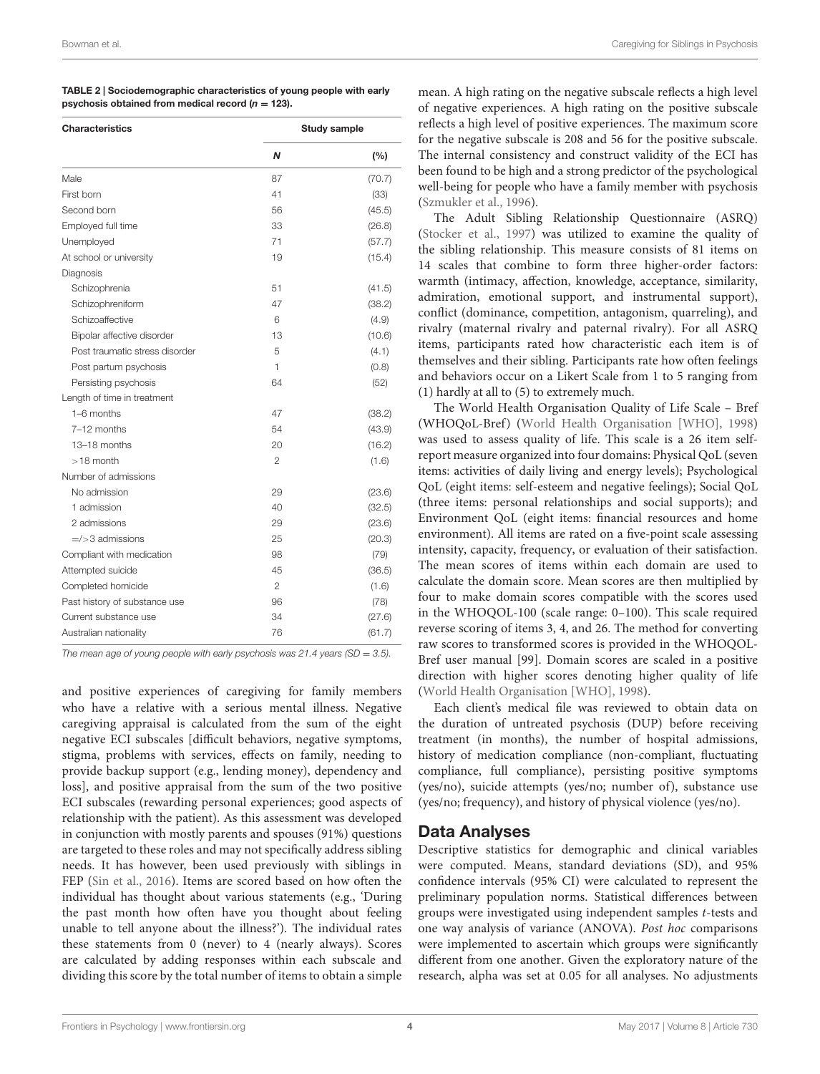<span id="page-3-0"></span>

| TABLE 2 Sociodemographic characteristics of young people with early |
|---------------------------------------------------------------------|
| psychosis obtained from medical record ( $n = 123$ ).               |

| <b>Characteristics</b>         | <b>Study sample</b> |        |  |
|--------------------------------|---------------------|--------|--|
|                                | N                   | (%)    |  |
| Male                           | 87                  | (70.7) |  |
| First born                     | 41                  | (33)   |  |
| Second born                    | 56                  | (45.5) |  |
| Employed full time             | 33                  | (26.8) |  |
| Unemployed                     | 71                  | (57.7) |  |
| At school or university        | 19                  | (15.4) |  |
| Diagnosis                      |                     |        |  |
| Schizophrenia                  | 51                  | (41.5) |  |
| Schizophreniform               | 47                  | (38.2) |  |
| Schizoaffective                | 6                   | (4.9)  |  |
| Bipolar affective disorder     | 13                  | (10.6) |  |
| Post traumatic stress disorder | 5                   | (4.1)  |  |
| Post partum psychosis          | 1                   | (0.8)  |  |
| Persisting psychosis           | 64                  | (52)   |  |
| Length of time in treatment    |                     |        |  |
| 1-6 months                     | 47                  | (38.2) |  |
| 7-12 months                    | 54                  | (43.9) |  |
| 13-18 months                   | 20                  | (16.2) |  |
| $>18$ month                    | $\mathfrak{p}$      | (1.6)  |  |
| Number of admissions           |                     |        |  |
| No admission                   | 29                  | (23.6) |  |
| 1 admission                    | 40                  | (32.5) |  |
| 2 admissions                   | 29                  | (23.6) |  |
| $=$ / $>$ 3 admissions         | 25                  | (20.3) |  |
| Compliant with medication      | 98                  | (79)   |  |
| Attempted suicide              | 45                  | (36.5) |  |
| Completed homicide             | $\overline{2}$      | (1.6)  |  |
| Past history of substance use  | 96                  | (78)   |  |
| Current substance use          | 34                  | (27.6) |  |
| Australian nationality         | 76                  | (61.7) |  |

The mean age of young people with early psychosis was 21.4 years (SD = 3.5).

and positive experiences of caregiving for family members who have a relative with a serious mental illness. Negative caregiving appraisal is calculated from the sum of the eight negative ECI subscales [difficult behaviors, negative symptoms, stigma, problems with services, effects on family, needing to provide backup support (e.g., lending money), dependency and loss], and positive appraisal from the sum of the two positive ECI subscales (rewarding personal experiences; good aspects of relationship with the patient). As this assessment was developed in conjunction with mostly parents and spouses (91%) questions are targeted to these roles and may not specifically address sibling needs. It has however, been used previously with siblings in FEP [\(Sin et al.,](#page-12-22) [2016\)](#page-12-22). Items are scored based on how often the individual has thought about various statements (e.g., 'During the past month how often have you thought about feeling unable to tell anyone about the illness?'). The individual rates these statements from 0 (never) to 4 (nearly always). Scores are calculated by adding responses within each subscale and dividing this score by the total number of items to obtain a simple

mean. A high rating on the negative subscale reflects a high level of negative experiences. A high rating on the positive subscale reflects a high level of positive experiences. The maximum score for the negative subscale is 208 and 56 for the positive subscale. The internal consistency and construct validity of the ECI has been found to be high and a strong predictor of the psychological well-being for people who have a family member with psychosis [\(Szmukler et al.,](#page-13-8) [1996\)](#page-13-8).

The Adult Sibling Relationship Questionnaire (ASRQ) [\(Stocker et al.,](#page-13-9) [1997\)](#page-13-9) was utilized to examine the quality of the sibling relationship. This measure consists of 81 items on 14 scales that combine to form three higher-order factors: warmth (intimacy, affection, knowledge, acceptance, similarity, admiration, emotional support, and instrumental support), conflict (dominance, competition, antagonism, quarreling), and rivalry (maternal rivalry and paternal rivalry). For all ASRQ items, participants rated how characteristic each item is of themselves and their sibling. Participants rate how often feelings and behaviors occur on a Likert Scale from 1 to 5 ranging from (1) hardly at all to (5) to extremely much.

The World Health Organisation Quality of Life Scale – Bref (WHOQoL-Bref) [\(World Health Organisation \[WHO\],](#page-13-10) [1998\)](#page-13-10) was used to assess quality of life. This scale is a 26 item selfreport measure organized into four domains: Physical QoL (seven items: activities of daily living and energy levels); Psychological QoL (eight items: self-esteem and negative feelings); Social QoL (three items: personal relationships and social supports); and Environment QoL (eight items: financial resources and home environment). All items are rated on a five-point scale assessing intensity, capacity, frequency, or evaluation of their satisfaction. The mean scores of items within each domain are used to calculate the domain score. Mean scores are then multiplied by four to make domain scores compatible with the scores used in the WHOQOL-100 (scale range: 0–100). This scale required reverse scoring of items 3, 4, and 26. The method for converting raw scores to transformed scores is provided in the WHOQOL-Bref user manual [99]. Domain scores are scaled in a positive direction with higher scores denoting higher quality of life [\(World Health Organisation \[WHO\],](#page-13-10) [1998\)](#page-13-10).

Each client's medical file was reviewed to obtain data on the duration of untreated psychosis (DUP) before receiving treatment (in months), the number of hospital admissions, history of medication compliance (non-compliant, fluctuating compliance, full compliance), persisting positive symptoms (yes/no), suicide attempts (yes/no; number of), substance use (yes/no; frequency), and history of physical violence (yes/no).

### Data Analyses

Descriptive statistics for demographic and clinical variables were computed. Means, standard deviations (SD), and 95% confidence intervals (95% CI) were calculated to represent the preliminary population norms. Statistical differences between groups were investigated using independent samples t-tests and one way analysis of variance (ANOVA). Post hoc comparisons were implemented to ascertain which groups were significantly different from one another. Given the exploratory nature of the research, alpha was set at 0.05 for all analyses. No adjustments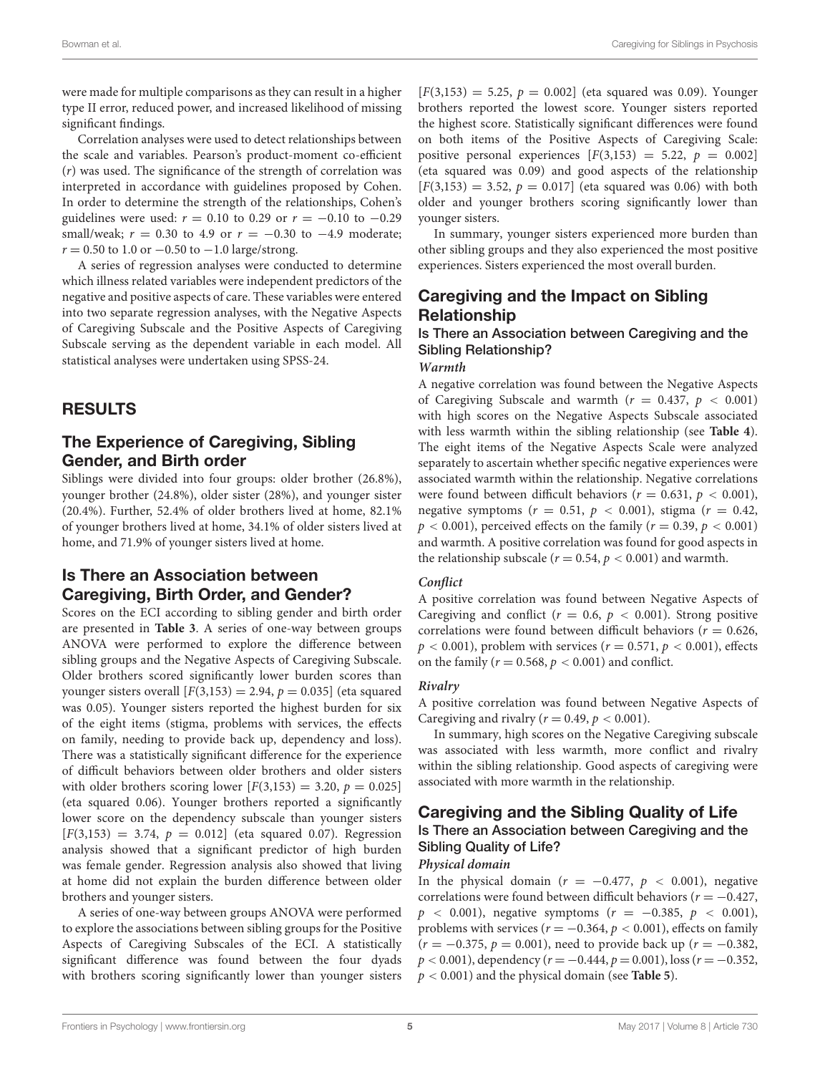were made for multiple comparisons as they can result in a higher type II error, reduced power, and increased likelihood of missing significant findings.

Correlation analyses were used to detect relationships between the scale and variables. Pearson's product-moment co-efficient (r) was used. The significance of the strength of correlation was interpreted in accordance with guidelines proposed by Cohen. In order to determine the strength of the relationships, Cohen's guidelines were used:  $r = 0.10$  to 0.29 or  $r = -0.10$  to  $-0.29$ small/weak;  $r = 0.30$  to 4.9 or  $r = -0.30$  to  $-4.9$  moderate;  $r = 0.50$  to 1.0 or  $-0.50$  to  $-1.0$  large/strong.

A series of regression analyses were conducted to determine which illness related variables were independent predictors of the negative and positive aspects of care. These variables were entered into two separate regression analyses, with the Negative Aspects of Caregiving Subscale and the Positive Aspects of Caregiving Subscale serving as the dependent variable in each model. All statistical analyses were undertaken using SPSS-24.

# RESULTS

# The Experience of Caregiving, Sibling Gender, and Birth order

Siblings were divided into four groups: older brother (26.8%), younger brother (24.8%), older sister (28%), and younger sister (20.4%). Further, 52.4% of older brothers lived at home, 82.1% of younger brothers lived at home, 34.1% of older sisters lived at home, and 71.9% of younger sisters lived at home.

# Is There an Association between Caregiving, Birth Order, and Gender?

Scores on the ECI according to sibling gender and birth order are presented in **[Table 3](#page-5-0)**. A series of one-way between groups ANOVA were performed to explore the difference between sibling groups and the Negative Aspects of Caregiving Subscale. Older brothers scored significantly lower burden scores than younger sisters overall  $[F(3,153) = 2.94, p = 0.035]$  (eta squared was 0.05). Younger sisters reported the highest burden for six of the eight items (stigma, problems with services, the effects on family, needing to provide back up, dependency and loss). There was a statistically significant difference for the experience of difficult behaviors between older brothers and older sisters with older brothers scoring lower  $[F(3,153) = 3.20, p = 0.025]$ (eta squared 0.06). Younger brothers reported a significantly lower score on the dependency subscale than younger sisters  $[F(3,153) = 3.74, p = 0.012]$  (eta squared 0.07). Regression analysis showed that a significant predictor of high burden was female gender. Regression analysis also showed that living at home did not explain the burden difference between older brothers and younger sisters.

A series of one-way between groups ANOVA were performed to explore the associations between sibling groups for the Positive Aspects of Caregiving Subscales of the ECI. A statistically significant difference was found between the four dyads with brothers scoring significantly lower than younger sisters  $[F(3,153) = 5.25, p = 0.002]$  (eta squared was 0.09). Younger brothers reported the lowest score. Younger sisters reported the highest score. Statistically significant differences were found on both items of the Positive Aspects of Caregiving Scale: positive personal experiences  $[F(3,153) = 5.22, p = 0.002]$ (eta squared was 0.09) and good aspects of the relationship  $[F(3,153) = 3.52, p = 0.017]$  (eta squared was 0.06) with both older and younger brothers scoring significantly lower than younger sisters.

In summary, younger sisters experienced more burden than other sibling groups and they also experienced the most positive experiences. Sisters experienced the most overall burden.

# Caregiving and the Impact on Sibling Relationship

# Is There an Association between Caregiving and the Sibling Relationship?

#### **Warmth**

A negative correlation was found between the Negative Aspects of Caregiving Subscale and warmth  $(r = 0.437, p < 0.001)$ with high scores on the Negative Aspects Subscale associated with less warmth within the sibling relationship (see **[Table 4](#page-5-1)**). The eight items of the Negative Aspects Scale were analyzed separately to ascertain whether specific negative experiences were associated warmth within the relationship. Negative correlations were found between difficult behaviors ( $r = 0.631$ ,  $p < 0.001$ ), negative symptoms ( $r = 0.51$ ,  $p < 0.001$ ), stigma ( $r = 0.42$ ,  $p < 0.001$ ), perceived effects on the family ( $r = 0.39$ ,  $p < 0.001$ ) and warmth. A positive correlation was found for good aspects in the relationship subscale ( $r = 0.54$ ,  $p < 0.001$ ) and warmth.

### **Conflict**

A positive correlation was found between Negative Aspects of Caregiving and conflict ( $r = 0.6$ ,  $p < 0.001$ ). Strong positive correlations were found between difficult behaviors ( $r = 0.626$ ,  $p < 0.001$ ), problem with services ( $r = 0.571$ ,  $p < 0.001$ ), effects on the family ( $r = 0.568$ ,  $p < 0.001$ ) and conflict.

### **Rivalry**

A positive correlation was found between Negative Aspects of Caregiving and rivalry ( $r = 0.49$ ,  $p < 0.001$ ).

In summary, high scores on the Negative Caregiving subscale was associated with less warmth, more conflict and rivalry within the sibling relationship. Good aspects of caregiving were associated with more warmth in the relationship.

### Caregiving and the Sibling Quality of Life Is There an Association between Caregiving and the Sibling Quality of Life? **Physical domain**

In the physical domain ( $r = -0.477$ ,  $p < 0.001$ ), negative correlations were found between difficult behaviors ( $r = -0.427$ ,  $p \le 0.001$ ), negative symptoms  $(r = -0.385, p \le 0.001)$ , problems with services ( $r = -0.364$ ,  $p < 0.001$ ), effects on family  $(r = -0.375, p = 0.001)$ , need to provide back up  $(r = -0.382,$  $p < 0.001$ ), dependency ( $r = -0.444$ ,  $p = 0.001$ ), loss ( $r = -0.352$ , p < 0.001) and the physical domain (see **[Table 5](#page-6-0)**).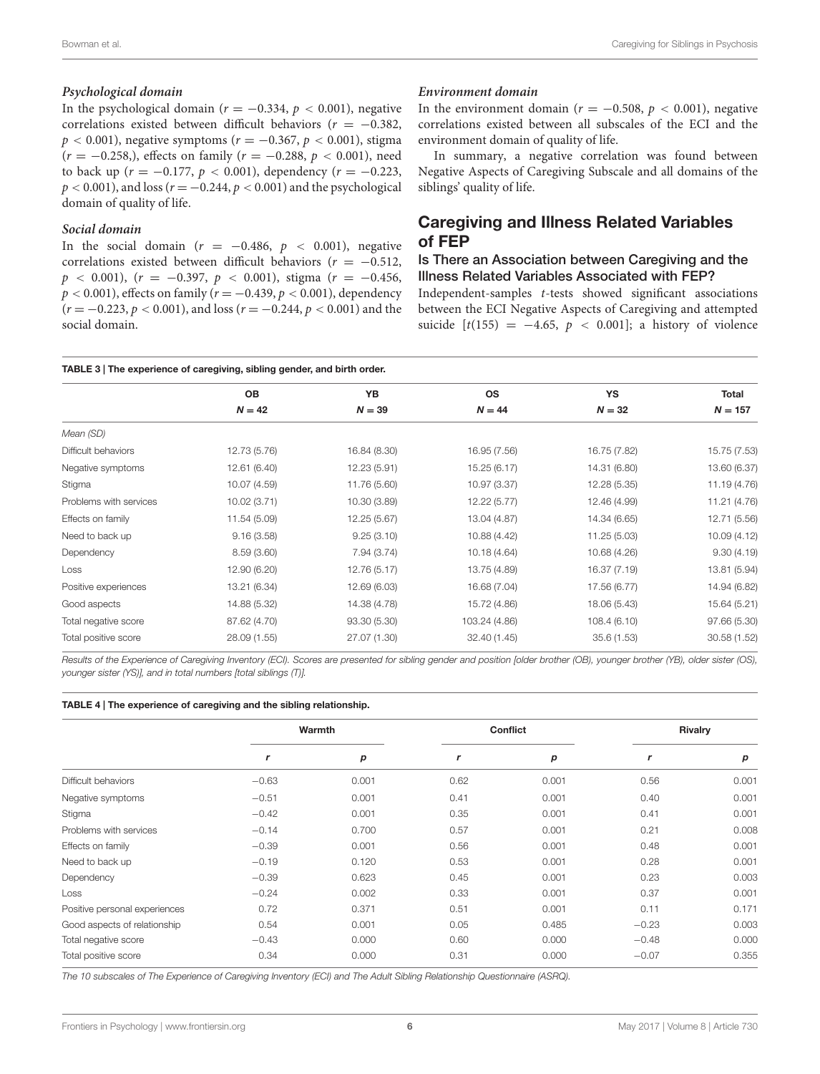#### **Psychological domain**

In the psychological domain ( $r = -0.334$ ,  $p < 0.001$ ), negative correlations existed between difficult behaviors ( $r = -0.382$ ,  $p < 0.001$ ), negative symptoms ( $r = -0.367$ ,  $p < 0.001$ ), stigma  $(r = -0.258)$ , effects on family  $(r = -0.288, p < 0.001)$ , need to back up ( $r = -0.177$ ,  $p < 0.001$ ), dependency ( $r = -0.223$ ,  $p < 0.001$ ), and loss ( $r = -0.244$ ,  $p < 0.001$ ) and the psychological domain of quality of life.

#### **Social domain**

In the social domain ( $r = -0.486$ ,  $p < 0.001$ ), negative correlations existed between difficult behaviors ( $r = -0.512$ ,  $p \le 0.001$ ),  $(r = -0.397, p \le 0.001)$ , stigma  $(r = -0.456,$  $p < 0.001$ ), effects on family ( $r = -0.439$ ,  $p < 0.001$ ), dependency  $(r = -0.223, p < 0.001)$ , and loss  $(r = -0.244, p < 0.001)$  and the social domain.

#### **Environment domain**

In the environment domain ( $r = -0.508$ ,  $p < 0.001$ ), negative correlations existed between all subscales of the ECI and the environment domain of quality of life.

In summary, a negative correlation was found between Negative Aspects of Caregiving Subscale and all domains of the siblings' quality of life.

# Caregiving and Illness Related Variables of FEP

### Is There an Association between Caregiving and the Illness Related Variables Associated with FEP?

Independent-samples t-tests showed significant associations between the ECI Negative Aspects of Caregiving and attempted suicide  $[t(155) = -4.65, p < 0.001]$ ; a history of violence

#### <span id="page-5-0"></span>TABLE 3 | The experience of caregiving, sibling gender, and birth order.

|                        | OВ           | YB           | <b>OS</b>     | YS           | Total        |
|------------------------|--------------|--------------|---------------|--------------|--------------|
|                        | $N = 42$     | $N = 39$     | $N = 44$      | $N = 32$     | $N = 157$    |
| Mean (SD)              |              |              |               |              |              |
| Difficult behaviors    | 12.73 (5.76) | 16.84 (8.30) | 16.95 (7.56)  | 16.75 (7.82) | 15.75 (7.53) |
| Negative symptoms      | 12.61 (6.40) | 12.23 (5.91) | 15.25 (6.17)  | 14.31 (6.80) | 13.60 (6.37) |
| Stigma                 | 10.07 (4.59) | 11.76 (5.60) | 10.97 (3.37)  | 12.28 (5.35) | 11.19 (4.76) |
| Problems with services | 10.02 (3.71) | 10.30 (3.89) | 12.22 (5.77)  | 12.46 (4.99) | 11.21 (4.76) |
| Effects on family      | 11.54 (5.09) | 12.25 (5.67) | 13.04 (4.87)  | 14.34 (6.65) | 12.71 (5.56) |
| Need to back up        | 9.16(3.58)   | 9.25(3.10)   | 10.88 (4.42)  | 11.25 (5.03) | 10.09 (4.12) |
| Dependency             | 8.59(3.60)   | 7.94 (3.74)  | 10.18 (4.64)  | 10.68 (4.26) | 9.30(4.19)   |
| Loss                   | 12.90 (6.20) | 12.76 (5.17) | 13.75 (4.89)  | 16.37 (7.19) | 13.81 (5.94) |
| Positive experiences   | 13.21 (6.34) | 12.69 (6.03) | 16.68 (7.04)  | 17.56 (6.77) | 14.94 (6.82) |
| Good aspects           | 14.88 (5.32) | 14.38 (4.78) | 15.72 (4.86)  | 18.06 (5.43) | 15.64 (5.21) |
| Total negative score   | 87.62 (4.70) | 93.30 (5.30) | 103.24 (4.86) | 108.4(6.10)  | 97.66 (5.30) |
| Total positive score   | 28.09 (1.55) | 27.07 (1.30) | 32.40 (1.45)  | 35.6(1.53)   | 30.58 (1.52) |
|                        |              |              |               |              |              |

Results of the Experience of Caregiving Inventory (ECI). Scores are presented for sibling gender and position [older brother (OB), younger brother (YB), older sister (OS), younger sister (YS)], and in total numbers [total siblings (T)].

#### <span id="page-5-1"></span>TABLE 4 | The experience of caregiving and the sibling relationship.

|                               | Warmth  |       | Conflict |       | <b>Rivalry</b> |       |
|-------------------------------|---------|-------|----------|-------|----------------|-------|
|                               | r       | р     | r        | р     | r              | p     |
| Difficult behaviors           | $-0.63$ | 0.001 | 0.62     | 0.001 | 0.56           | 0.001 |
| Negative symptoms             | $-0.51$ | 0.001 | 0.41     | 0.001 | 0.40           | 0.001 |
| Stigma                        | $-0.42$ | 0.001 | 0.35     | 0.001 | 0.41           | 0.001 |
| Problems with services        | $-0.14$ | 0.700 | 0.57     | 0.001 | 0.21           | 0.008 |
| Effects on family             | $-0.39$ | 0.001 | 0.56     | 0.001 | 0.48           | 0.001 |
| Need to back up               | $-0.19$ | 0.120 | 0.53     | 0.001 | 0.28           | 0.001 |
| Dependency                    | $-0.39$ | 0.623 | 0.45     | 0.001 | 0.23           | 0.003 |
| Loss                          | $-0.24$ | 0.002 | 0.33     | 0.001 | 0.37           | 0.001 |
| Positive personal experiences | 0.72    | 0.371 | 0.51     | 0.001 | 0.11           | 0.171 |
| Good aspects of relationship  | 0.54    | 0.001 | 0.05     | 0.485 | $-0.23$        | 0.003 |
| Total negative score          | $-0.43$ | 0.000 | 0.60     | 0.000 | $-0.48$        | 0.000 |
| Total positive score          | 0.34    | 0.000 | 0.31     | 0.000 | $-0.07$        | 0.355 |

The 10 subscales of The Experience of Caregiving Inventory (ECI) and The Adult Sibling Relationship Questionnaire (ASRQ).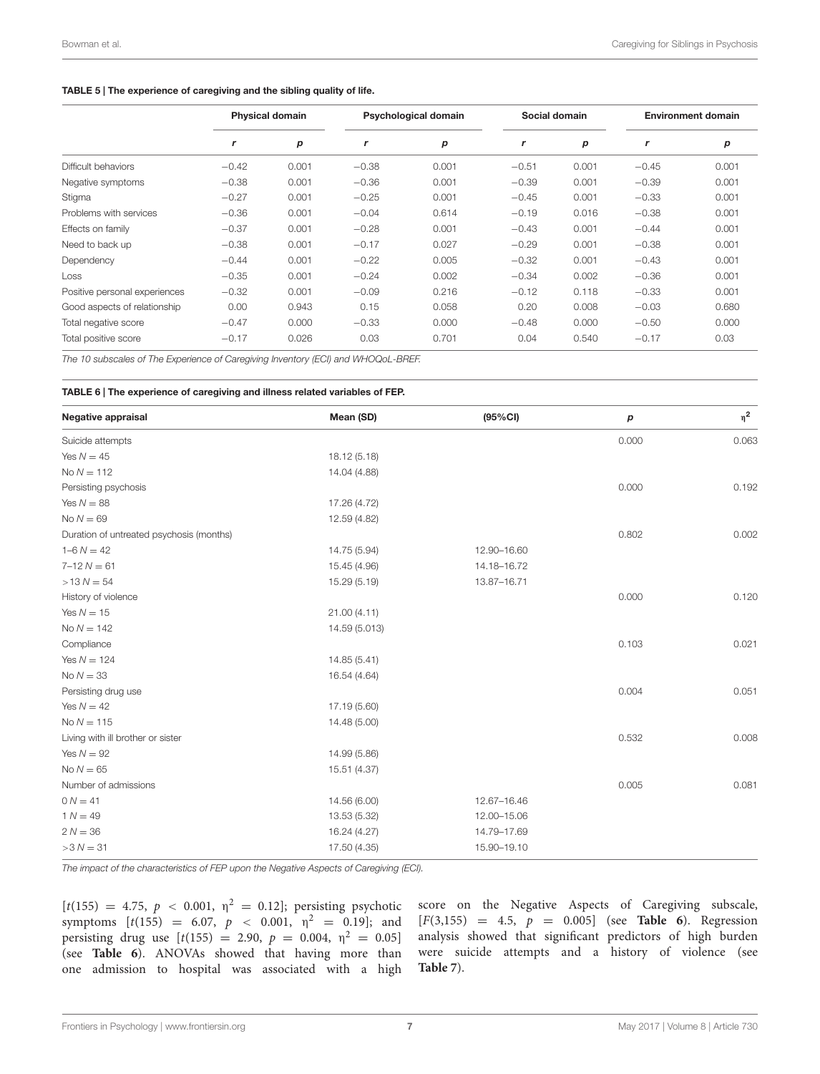#### <span id="page-6-0"></span>TABLE 5 | The experience of caregiving and the sibling quality of life.

|                               | <b>Physical domain</b> |                  | <b>Psychological domain</b> |       | Social domain |       | <b>Environment domain</b> |       |
|-------------------------------|------------------------|------------------|-----------------------------|-------|---------------|-------|---------------------------|-------|
|                               | $\mathbf{r}$           | $\boldsymbol{p}$ | r                           | p     | $\mathbf{r}$  | p     | r                         | р     |
| Difficult behaviors           | $-0.42$                | 0.001            | $-0.38$                     | 0.001 | $-0.51$       | 0.001 | $-0.45$                   | 0.001 |
| Negative symptoms             | $-0.38$                | 0.001            | $-0.36$                     | 0.001 | $-0.39$       | 0.001 | $-0.39$                   | 0.001 |
| Stigma                        | $-0.27$                | 0.001            | $-0.25$                     | 0.001 | $-0.45$       | 0.001 | $-0.33$                   | 0.001 |
| Problems with services        | $-0.36$                | 0.001            | $-0.04$                     | 0.614 | $-0.19$       | 0.016 | $-0.38$                   | 0.001 |
| Effects on family             | $-0.37$                | 0.001            | $-0.28$                     | 0.001 | $-0.43$       | 0.001 | $-0.44$                   | 0.001 |
| Need to back up               | $-0.38$                | 0.001            | $-0.17$                     | 0.027 | $-0.29$       | 0.001 | $-0.38$                   | 0.001 |
| Dependency                    | $-0.44$                | 0.001            | $-0.22$                     | 0.005 | $-0.32$       | 0.001 | $-0.43$                   | 0.001 |
| Loss                          | $-0.35$                | 0.001            | $-0.24$                     | 0.002 | $-0.34$       | 0.002 | $-0.36$                   | 0.001 |
| Positive personal experiences | $-0.32$                | 0.001            | $-0.09$                     | 0.216 | $-0.12$       | 0.118 | $-0.33$                   | 0.001 |
| Good aspects of relationship  | 0.00                   | 0.943            | 0.15                        | 0.058 | 0.20          | 0.008 | $-0.03$                   | 0.680 |
| Total negative score          | $-0.47$                | 0.000            | $-0.33$                     | 0.000 | $-0.48$       | 0.000 | $-0.50$                   | 0.000 |
| Total positive score          | $-0.17$                | 0.026            | 0.03                        | 0.701 | 0.04          | 0.540 | $-0.17$                   | 0.03  |

The 10 subscales of The Experience of Caregiving Inventory (ECI) and WHOQoL-BREF.

#### <span id="page-6-1"></span>TABLE 6 | The experience of caregiving and illness related variables of FEP.

| Negative appraisal                       | Mean (SD)     | (95% CI)    | р     | $\eta^2$ |
|------------------------------------------|---------------|-------------|-------|----------|
| Suicide attempts                         |               |             | 0.000 | 0.063    |
| Yes $N = 45$                             | 18.12 (5.18)  |             |       |          |
| $No N = 112$                             | 14.04 (4.88)  |             |       |          |
| Persisting psychosis                     |               |             | 0.000 | 0.192    |
| Yes $N = 88$                             | 17.26 (4.72)  |             |       |          |
| No $N = 69$                              | 12.59 (4.82)  |             |       |          |
| Duration of untreated psychosis (months) |               |             | 0.802 | 0.002    |
| $1 - 6 N = 42$                           | 14.75 (5.94)  | 12.90-16.60 |       |          |
| $7 - 12 N = 61$                          | 15.45 (4.96)  | 14.18-16.72 |       |          |
| $>13 N = 54$                             | 15.29 (5.19)  | 13.87-16.71 |       |          |
| History of violence                      |               |             | 0.000 | 0.120    |
| Yes $N = 15$                             | 21.00 (4.11)  |             |       |          |
| $No N = 142$                             | 14.59 (5.013) |             |       |          |
| Compliance                               |               |             | 0.103 | 0.021    |
| Yes $N = 124$                            | 14.85 (5.41)  |             |       |          |
| No $N = 33$                              | 16.54 (4.64)  |             |       |          |
| Persisting drug use                      |               |             | 0.004 | 0.051    |
| Yes $N = 42$                             | 17.19 (5.60)  |             |       |          |
| $No N = 115$                             | 14.48 (5.00)  |             |       |          |
| Living with ill brother or sister        |               |             | 0.532 | 0.008    |
| Yes $N = 92$                             | 14.99 (5.86)  |             |       |          |
| No $N = 65$                              | 15.51 (4.37)  |             |       |          |
| Number of admissions                     |               |             | 0.005 | 0.081    |
| $0 N = 41$                               | 14.56 (6.00)  | 12.67-16.46 |       |          |
| $1 N = 49$                               | 13.53 (5.32)  | 12.00-15.06 |       |          |
| $2 N = 36$                               | 16.24 (4.27)  | 14.79-17.69 |       |          |
| $>3 N = 31$                              | 17.50 (4.35)  | 15.90-19.10 |       |          |

The impact of the characteristics of FEP upon the Negative Aspects of Caregiving (ECI).

[ $t(155) = 4.75$ ,  $p < 0.001$ ,  $\eta^2 = 0.12$ ]; persisting psychotic symptoms  $[t(155) = 6.07, p < 0.001, \eta^2 = 0.19]$ ; and persisting drug use  $[t(155) = 2.90, p = 0.004, \eta^2 = 0.05]$ (see **[Table 6](#page-6-1)**). ANOVAs showed that having more than one admission to hospital was associated with a high

score on the Negative Aspects of Caregiving subscale, [F(3,155) = 4.5, p = 0.005] (see **[Table 6](#page-6-1)**). Regression analysis showed that significant predictors of high burden were suicide attempts and a history of violence (see **[Table 7](#page-7-1)**).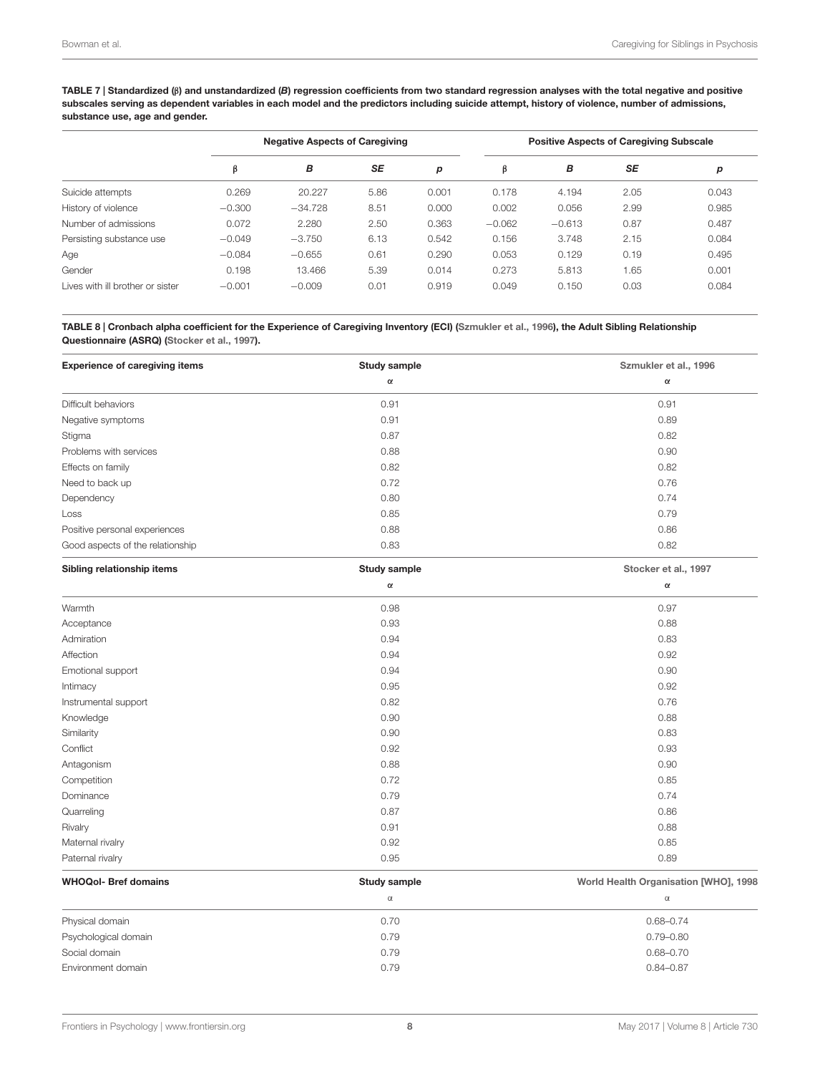<span id="page-7-1"></span>TABLE 7 | Standardized (β) and unstandardized (B) regression coefficients from two standard regression analyses with the total negative and positive subscales serving as dependent variables in each model and the predictors including suicide attempt, history of violence, number of admissions, substance use, age and gender.

|                                  | <b>Negative Aspects of Caregiving</b> |           |      |       |          | <b>Positive Aspects of Caregiving Subscale</b> |           |       |
|----------------------------------|---------------------------------------|-----------|------|-------|----------|------------------------------------------------|-----------|-------|
|                                  | β                                     | В         | SE   | p     | β        | в                                              | <b>SE</b> | p     |
| Suicide attempts                 | 0.269                                 | 20.227    | 5.86 | 0.001 | 0.178    | 4.194                                          | 2.05      | 0.043 |
| History of violence              | $-0.300$                              | $-34.728$ | 8.51 | 0.000 | 0.002    | 0.056                                          | 2.99      | 0.985 |
| Number of admissions             | 0.072                                 | 2.280     | 2.50 | 0.363 | $-0.062$ | $-0.613$                                       | 0.87      | 0.487 |
| Persisting substance use         | $-0.049$                              | $-3.750$  | 6.13 | 0.542 | 0.156    | 3.748                                          | 2.15      | 0.084 |
| Age                              | $-0.084$                              | $-0.655$  | 0.61 | 0.290 | 0.053    | 0.129                                          | 0.19      | 0.495 |
| Gender                           | 0.198                                 | 13.466    | 5.39 | 0.014 | 0.273    | 5.813                                          | 1.65      | 0.001 |
| Lives with ill brother or sister | $-0.001$                              | $-0.009$  | 0.01 | 0.919 | 0.049    | 0.150                                          | 0.03      | 0.084 |

<span id="page-7-0"></span>TABLE 8 | Cronbach alpha coefficient for the Experience of Caregiving Inventory (ECI) [\(Szmukler et al.,](#page-13-8) [1996\)](#page-13-8), the Adult Sibling Relationship Questionnaire (ASRQ) [\(Stocker et al.,](#page-13-9) [1997\)](#page-13-9).

| <b>Experience of caregiving items</b> | <b>Study sample</b> | Szmukler et al., 1996                 |
|---------------------------------------|---------------------|---------------------------------------|
|                                       | $\alpha$            | $\alpha$                              |
| Difficult behaviors                   | 0.91                | 0.91                                  |
| Negative symptoms                     | 0.91                | 0.89                                  |
| Stigma                                | 0.87                | 0.82                                  |
| Problems with services                | 0.88                | 0.90                                  |
| Effects on family                     | 0.82                | 0.82                                  |
| Need to back up                       | 0.72                | 0.76                                  |
| Dependency                            | 0.80                | 0.74                                  |
| Loss                                  | 0.85                | 0.79                                  |
| Positive personal experiences         | 0.88                | 0.86                                  |
| Good aspects of the relationship      | 0.83                | 0.82                                  |
| Sibling relationship items            | Study sample        | Stocker et al., 1997                  |
|                                       | $\alpha$            | $\alpha$                              |
| Warmth                                | 0.98                | 0.97                                  |
| Acceptance                            | 0.93                | 0.88                                  |
| Admiration                            | 0.94                | 0.83                                  |
| Affection                             | 0.94                | 0.92                                  |
| Emotional support                     | 0.94                | 0.90                                  |
| Intimacy                              | 0.95                | 0.92                                  |
| Instrumental support                  | 0.82                | 0.76                                  |
| Knowledge                             | 0.90                | 0.88                                  |
| Similarity                            | 0.90                | 0.83                                  |
| Conflict                              | 0.92                | 0.93                                  |
| Antagonism                            | 0.88                | 0.90                                  |
| Competition                           | 0.72                | 0.85                                  |
| Dominance                             | 0.79                | 0.74                                  |
| Quarreling                            | 0.87                | 0.86                                  |
| Rivalry                               | 0.91                | 0.88                                  |
| Maternal rivalry                      | 0.92                | 0.85                                  |
| Paternal rivalry                      | 0.95                | 0.89                                  |
| <b>WHOQol- Bref domains</b>           | <b>Study sample</b> | World Health Organisation [WHO], 1998 |
|                                       | $\alpha$            | $\alpha$                              |

| Physical domain      | 0.70 | $0.68 - 0.74$ |
|----------------------|------|---------------|
| Psychological domain | 0.79 | $0.79 - 0.80$ |
| Social domain        | 0.79 | $0.68 - 0.70$ |
| Environment domain   | 0.79 | $0.84 - 0.87$ |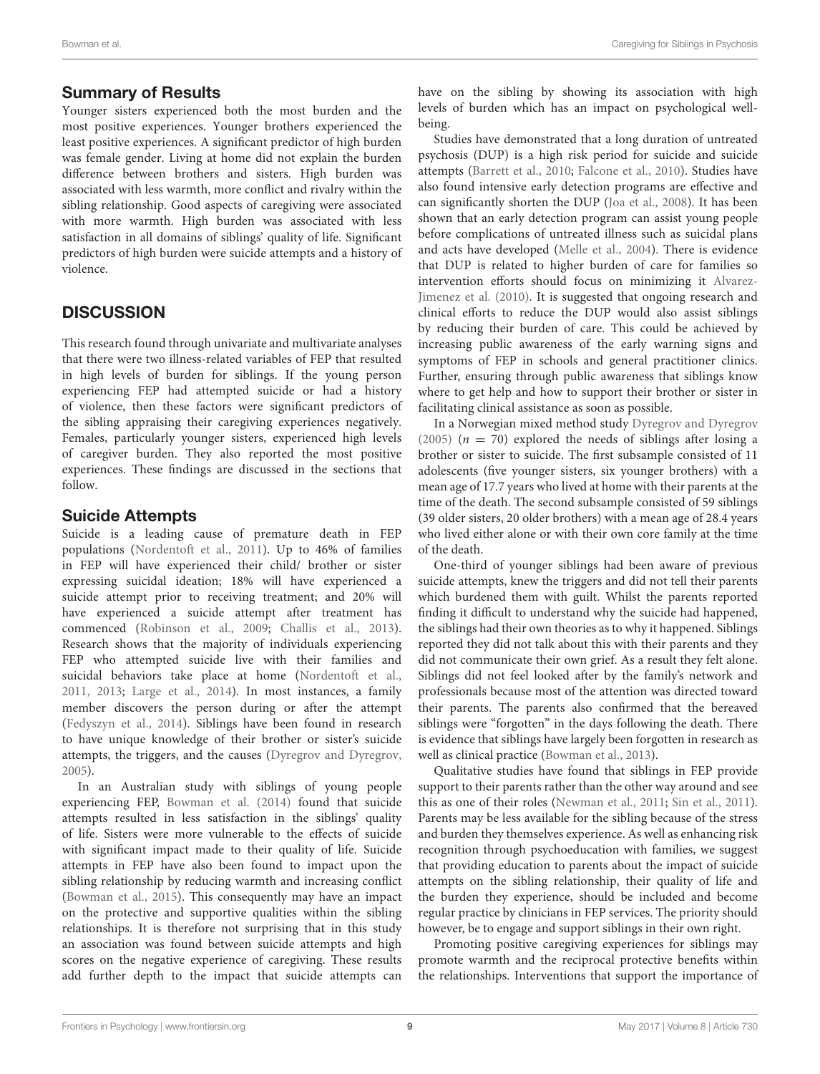# Summary of Results

Younger sisters experienced both the most burden and the most positive experiences. Younger brothers experienced the least positive experiences. A significant predictor of high burden was female gender. Living at home did not explain the burden difference between brothers and sisters. High burden was associated with less warmth, more conflict and rivalry within the sibling relationship. Good aspects of caregiving were associated with more warmth. High burden was associated with less satisfaction in all domains of siblings' quality of life. Significant predictors of high burden were suicide attempts and a history of violence.

# **DISCUSSION**

This research found through univariate and multivariate analyses that there were two illness-related variables of FEP that resulted in high levels of burden for siblings. If the young person experiencing FEP had attempted suicide or had a history of violence, then these factors were significant predictors of the sibling appraising their caregiving experiences negatively. Females, particularly younger sisters, experienced high levels of caregiver burden. They also reported the most positive experiences. These findings are discussed in the sections that follow.

# Suicide Attempts

Suicide is a leading cause of premature death in FEP populations [\(Nordentoft et al.,](#page-12-23) [2011\)](#page-12-23). Up to 46% of families in FEP will have experienced their child/ brother or sister expressing suicidal ideation; 18% will have experienced a suicide attempt prior to receiving treatment; and 20% will have experienced a suicide attempt after treatment has commenced [\(Robinson et al.,](#page-12-17) [2009;](#page-12-17) [Challis et al.,](#page-11-25) [2013\)](#page-11-25). Research shows that the majority of individuals experiencing FEP who attempted suicide live with their families and suicidal behaviors take place at home [\(Nordentoft et al.,](#page-12-23) [2011,](#page-12-23) [2013;](#page-12-24) [Large et al.,](#page-12-25) [2014\)](#page-12-25). In most instances, a family member discovers the person during or after the attempt [\(Fedyszyn et al.,](#page-11-26) [2014\)](#page-11-26). Siblings have been found in research to have unique knowledge of their brother or sister's suicide attempts, the triggers, and the causes [\(Dyregrov and Dyregrov,](#page-11-7) [2005\)](#page-11-7).

In an Australian study with siblings of young people experiencing FEP, [Bowman et al.](#page-11-19) [\(2014\)](#page-11-19) found that suicide attempts resulted in less satisfaction in the siblings' quality of life. Sisters were more vulnerable to the effects of suicide with significant impact made to their quality of life. Suicide attempts in FEP have also been found to impact upon the sibling relationship by reducing warmth and increasing conflict [\(Bowman et al.,](#page-11-20) [2015\)](#page-11-20). This consequently may have an impact on the protective and supportive qualities within the sibling relationships. It is therefore not surprising that in this study an association was found between suicide attempts and high scores on the negative experience of caregiving. These results add further depth to the impact that suicide attempts can

have on the sibling by showing its association with high levels of burden which has an impact on psychological wellbeing.

Studies have demonstrated that a long duration of untreated psychosis (DUP) is a high risk period for suicide and suicide attempts [\(Barrett et al.,](#page-11-27) [2010;](#page-11-27) [Falcone et al.,](#page-11-28) [2010\)](#page-11-28). Studies have also found intensive early detection programs are effective and can significantly shorten the DUP [\(Joa et al.,](#page-12-26) [2008\)](#page-12-26). It has been shown that an early detection program can assist young people before complications of untreated illness such as suicidal plans and acts have developed [\(Melle et al.,](#page-12-27) [2004\)](#page-12-27). There is evidence that DUP is related to higher burden of care for families so intervention efforts should focus on minimizing it [Alvarez-](#page-11-11)[Jimenez et al.](#page-11-11) [\(2010\)](#page-11-11). It is suggested that ongoing research and clinical efforts to reduce the DUP would also assist siblings by reducing their burden of care. This could be achieved by increasing public awareness of the early warning signs and symptoms of FEP in schools and general practitioner clinics. Further, ensuring through public awareness that siblings know where to get help and how to support their brother or sister in facilitating clinical assistance as soon as possible.

In a Norwegian mixed method study [Dyregrov and Dyregrov](#page-11-7) [\(2005\)](#page-11-7) ( $n = 70$ ) explored the needs of siblings after losing a brother or sister to suicide. The first subsample consisted of 11 adolescents (five younger sisters, six younger brothers) with a mean age of 17.7 years who lived at home with their parents at the time of the death. The second subsample consisted of 59 siblings (39 older sisters, 20 older brothers) with a mean age of 28.4 years who lived either alone or with their own core family at the time of the death.

One-third of younger siblings had been aware of previous suicide attempts, knew the triggers and did not tell their parents which burdened them with guilt. Whilst the parents reported finding it difficult to understand why the suicide had happened, the siblings had their own theories as to why it happened. Siblings reported they did not talk about this with their parents and they did not communicate their own grief. As a result they felt alone. Siblings did not feel looked after by the family's network and professionals because most of the attention was directed toward their parents. The parents also confirmed that the bereaved siblings were "forgotten" in the days following the death. There is evidence that siblings have largely been forgotten in research as well as clinical practice [\(Bowman et al.,](#page-11-8) [2013\)](#page-11-8).

Qualitative studies have found that siblings in FEP provide support to their parents rather than the other way around and see this as one of their roles [\(Newman et al.,](#page-12-11) [2011;](#page-12-11) [Sin et al.,](#page-12-12) [2011\)](#page-12-12). Parents may be less available for the sibling because of the stress and burden they themselves experience. As well as enhancing risk recognition through psychoeducation with families, we suggest that providing education to parents about the impact of suicide attempts on the sibling relationship, their quality of life and the burden they experience, should be included and become regular practice by clinicians in FEP services. The priority should however, be to engage and support siblings in their own right.

Promoting positive caregiving experiences for siblings may promote warmth and the reciprocal protective benefits within the relationships. Interventions that support the importance of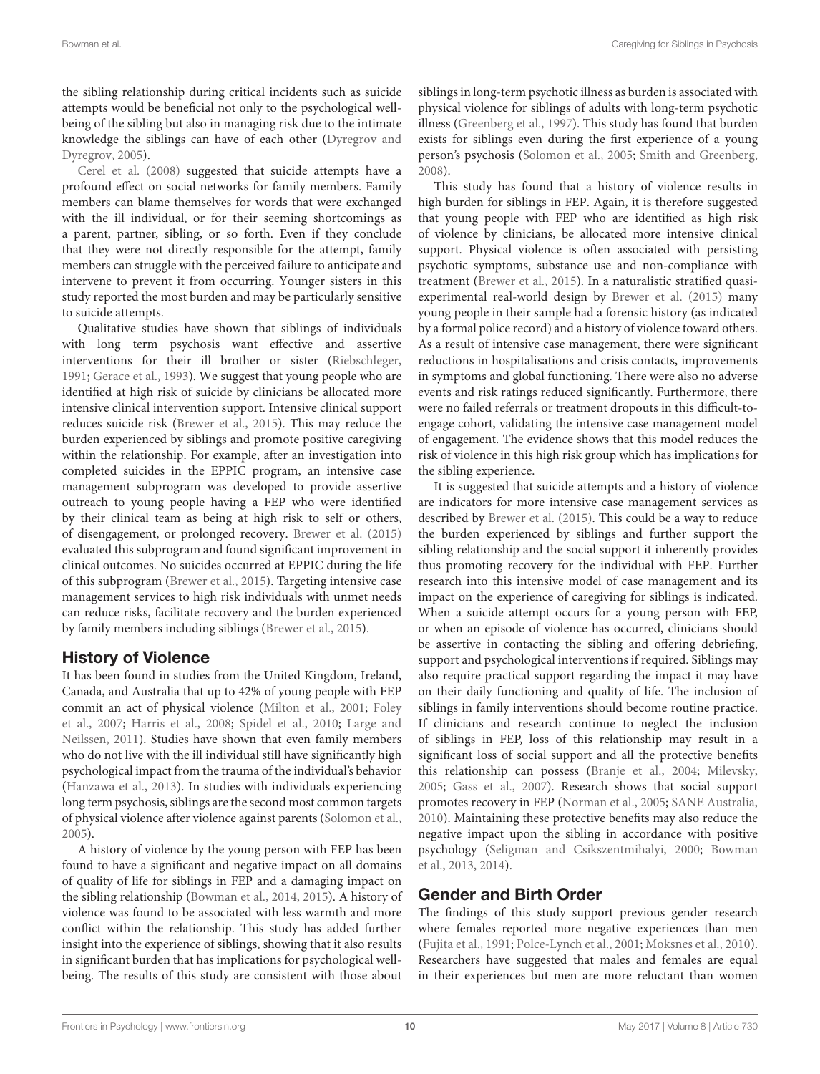the sibling relationship during critical incidents such as suicide attempts would be beneficial not only to the psychological wellbeing of the sibling but also in managing risk due to the intimate knowledge the siblings can have of each other [\(Dyregrov and](#page-11-7) [Dyregrov,](#page-11-7) [2005\)](#page-11-7).

[Cerel et al.](#page-11-29) [\(2008\)](#page-11-29) suggested that suicide attempts have a profound effect on social networks for family members. Family members can blame themselves for words that were exchanged with the ill individual, or for their seeming shortcomings as a parent, partner, sibling, or so forth. Even if they conclude that they were not directly responsible for the attempt, family members can struggle with the perceived failure to anticipate and intervene to prevent it from occurring. Younger sisters in this study reported the most burden and may be particularly sensitive to suicide attempts.

Qualitative studies have shown that siblings of individuals with long term psychosis want effective and assertive interventions for their ill brother or sister [\(Riebschleger,](#page-12-28) [1991;](#page-12-28) [Gerace et al.,](#page-11-13) [1993\)](#page-11-13). We suggest that young people who are identified at high risk of suicide by clinicians be allocated more intensive clinical intervention support. Intensive clinical support reduces suicide risk [\(Brewer et al.,](#page-11-30) [2015\)](#page-11-30). This may reduce the burden experienced by siblings and promote positive caregiving within the relationship. For example, after an investigation into completed suicides in the EPPIC program, an intensive case management subprogram was developed to provide assertive outreach to young people having a FEP who were identified by their clinical team as being at high risk to self or others, of disengagement, or prolonged recovery. [Brewer et al.](#page-11-30) [\(2015\)](#page-11-30) evaluated this subprogram and found significant improvement in clinical outcomes. No suicides occurred at EPPIC during the life of this subprogram [\(Brewer et al.,](#page-11-30) [2015\)](#page-11-30). Targeting intensive case management services to high risk individuals with unmet needs can reduce risks, facilitate recovery and the burden experienced by family members including siblings [\(Brewer et al.,](#page-11-30) [2015\)](#page-11-30).

# History of Violence

It has been found in studies from the United Kingdom, Ireland, Canada, and Australia that up to 42% of young people with FEP commit an act of physical violence [\(Milton et al.,](#page-12-29) [2001;](#page-12-29) [Foley](#page-11-31) [et al.,](#page-11-31) [2007;](#page-11-31) [Harris et al.,](#page-12-30) [2008;](#page-12-30) [Spidel et al.,](#page-13-11) [2010;](#page-13-11) [Large and](#page-12-31) [Neilssen,](#page-12-31) [2011\)](#page-12-31). Studies have shown that even family members who do not live with the ill individual still have significantly high psychological impact from the trauma of the individual's behavior [\(Hanzawa et al.,](#page-12-32) [2013\)](#page-12-32). In studies with individuals experiencing long term psychosis, siblings are the second most common targets of physical violence after violence against parents [\(Solomon et al.,](#page-13-12) [2005\)](#page-13-12).

A history of violence by the young person with FEP has been found to have a significant and negative impact on all domains of quality of life for siblings in FEP and a damaging impact on the sibling relationship [\(Bowman et al.,](#page-11-19) [2014,](#page-11-19) [2015\)](#page-11-20). A history of violence was found to be associated with less warmth and more conflict within the relationship. This study has added further insight into the experience of siblings, showing that it also results in significant burden that has implications for psychological wellbeing. The results of this study are consistent with those about

siblings in long-term psychotic illness as burden is associated with physical violence for siblings of adults with long-term psychotic illness [\(Greenberg et al.,](#page-12-33) [1997\)](#page-12-33). This study has found that burden exists for siblings even during the first experience of a young person's psychosis [\(Solomon et al.,](#page-13-12) [2005;](#page-13-12) [Smith and Greenberg,](#page-13-5) [2008\)](#page-13-5).

This study has found that a history of violence results in high burden for siblings in FEP. Again, it is therefore suggested that young people with FEP who are identified as high risk of violence by clinicians, be allocated more intensive clinical support. Physical violence is often associated with persisting psychotic symptoms, substance use and non-compliance with treatment [\(Brewer et al.,](#page-11-30) [2015\)](#page-11-30). In a naturalistic stratified quasiexperimental real-world design by [Brewer et al.](#page-11-30) [\(2015\)](#page-11-30) many young people in their sample had a forensic history (as indicated by a formal police record) and a history of violence toward others. As a result of intensive case management, there were significant reductions in hospitalisations and crisis contacts, improvements in symptoms and global functioning. There were also no adverse events and risk ratings reduced significantly. Furthermore, there were no failed referrals or treatment dropouts in this difficult-toengage cohort, validating the intensive case management model of engagement. The evidence shows that this model reduces the risk of violence in this high risk group which has implications for the sibling experience.

It is suggested that suicide attempts and a history of violence are indicators for more intensive case management services as described by [Brewer et al.](#page-11-30) [\(2015\)](#page-11-30). This could be a way to reduce the burden experienced by siblings and further support the sibling relationship and the social support it inherently provides thus promoting recovery for the individual with FEP. Further research into this intensive model of case management and its impact on the experience of caregiving for siblings is indicated. When a suicide attempt occurs for a young person with FEP, or when an episode of violence has occurred, clinicians should be assertive in contacting the sibling and offering debriefing, support and psychological interventions if required. Siblings may also require practical support regarding the impact it may have on their daily functioning and quality of life. The inclusion of siblings in family interventions should become routine practice. If clinicians and research continue to neglect the inclusion of siblings in FEP, loss of this relationship may result in a significant loss of social support and all the protective benefits this relationship can possess [\(Branje et al.,](#page-11-0) [2004;](#page-11-0) [Milevsky,](#page-12-0) [2005;](#page-12-0) [Gass et al.,](#page-11-1) [2007\)](#page-11-1). Research shows that social support promotes recovery in FEP [\(Norman et al.,](#page-12-34) [2005;](#page-12-34) [SANE Australia,](#page-12-35) [2010\)](#page-12-35). Maintaining these protective benefits may also reduce the negative impact upon the sibling in accordance with positive psychology [\(Seligman and Csikszentmihalyi,](#page-12-36) [2000;](#page-12-36) [Bowman](#page-11-8) [et al.,](#page-11-8) [2013,](#page-11-8) [2014\)](#page-11-19).

# Gender and Birth Order

The findings of this study support previous gender research where females reported more negative experiences than men [\(Fujita et al.,](#page-11-32) [1991;](#page-11-32) [Polce-Lynch et al.,](#page-12-37) [2001;](#page-12-37) [Moksnes et al.,](#page-12-38) [2010\)](#page-12-38). Researchers have suggested that males and females are equal in their experiences but men are more reluctant than women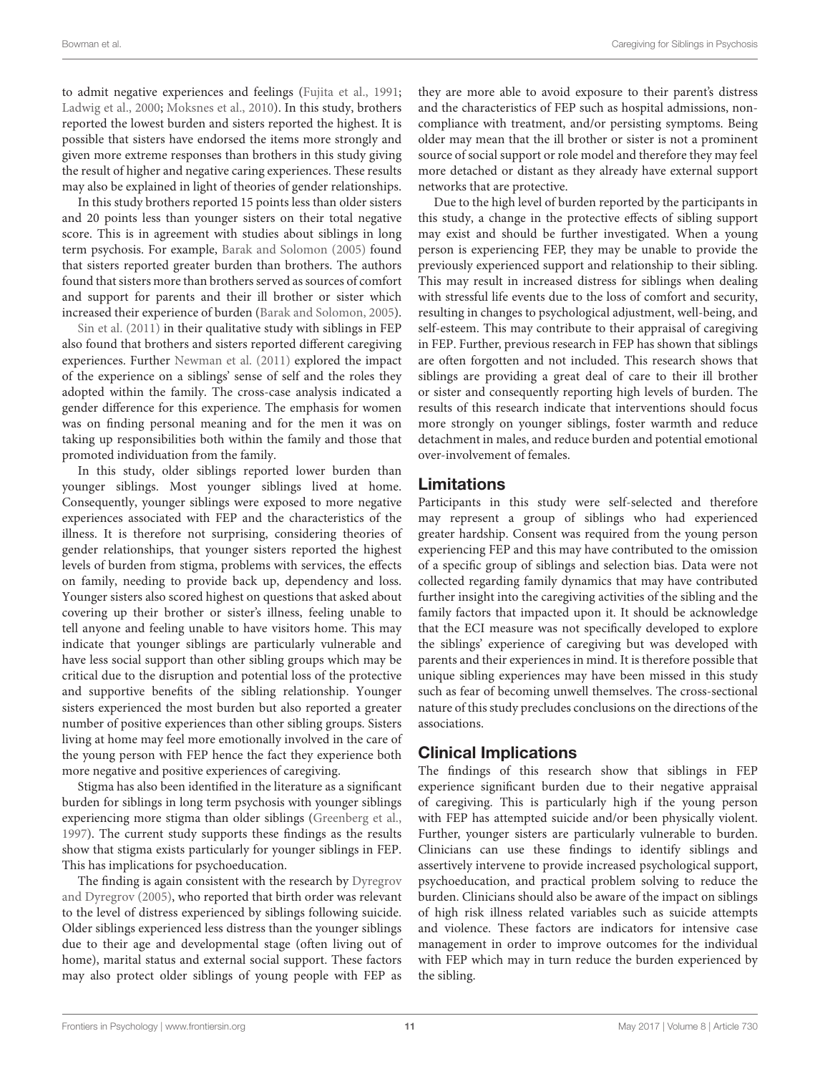to admit negative experiences and feelings [\(Fujita et al.,](#page-11-32) [1991;](#page-11-32) [Ladwig et al.,](#page-12-39) [2000;](#page-12-39) [Moksnes et al.,](#page-12-38) [2010\)](#page-12-38). In this study, brothers reported the lowest burden and sisters reported the highest. It is possible that sisters have endorsed the items more strongly and given more extreme responses than brothers in this study giving the result of higher and negative caring experiences. These results may also be explained in light of theories of gender relationships.

In this study brothers reported 15 points less than older sisters and 20 points less than younger sisters on their total negative score. This is in agreement with studies about siblings in long term psychosis. For example, [Barak and Solomon](#page-11-14) [\(2005\)](#page-11-14) found that sisters reported greater burden than brothers. The authors found that sisters more than brothers served as sources of comfort and support for parents and their ill brother or sister which increased their experience of burden [\(Barak and Solomon,](#page-11-14) [2005\)](#page-11-14).

[Sin et al.](#page-12-12) [\(2011\)](#page-12-12) in their qualitative study with siblings in FEP also found that brothers and sisters reported different caregiving experiences. Further [Newman et al.](#page-12-11) [\(2011\)](#page-12-11) explored the impact of the experience on a siblings' sense of self and the roles they adopted within the family. The cross-case analysis indicated a gender difference for this experience. The emphasis for women was on finding personal meaning and for the men it was on taking up responsibilities both within the family and those that promoted individuation from the family.

In this study, older siblings reported lower burden than younger siblings. Most younger siblings lived at home. Consequently, younger siblings were exposed to more negative experiences associated with FEP and the characteristics of the illness. It is therefore not surprising, considering theories of gender relationships, that younger sisters reported the highest levels of burden from stigma, problems with services, the effects on family, needing to provide back up, dependency and loss. Younger sisters also scored highest on questions that asked about covering up their brother or sister's illness, feeling unable to tell anyone and feeling unable to have visitors home. This may indicate that younger siblings are particularly vulnerable and have less social support than other sibling groups which may be critical due to the disruption and potential loss of the protective and supportive benefits of the sibling relationship. Younger sisters experienced the most burden but also reported a greater number of positive experiences than other sibling groups. Sisters living at home may feel more emotionally involved in the care of the young person with FEP hence the fact they experience both more negative and positive experiences of caregiving.

Stigma has also been identified in the literature as a significant burden for siblings in long term psychosis with younger siblings experiencing more stigma than older siblings [\(Greenberg et al.,](#page-12-33) [1997\)](#page-12-33). The current study supports these findings as the results show that stigma exists particularly for younger siblings in FEP. This has implications for psychoeducation.

The finding is again consistent with the research by [Dyregrov](#page-11-7) [and Dyregrov](#page-11-7) [\(2005\)](#page-11-7), who reported that birth order was relevant to the level of distress experienced by siblings following suicide. Older siblings experienced less distress than the younger siblings due to their age and developmental stage (often living out of home), marital status and external social support. These factors may also protect older siblings of young people with FEP as

they are more able to avoid exposure to their parent's distress and the characteristics of FEP such as hospital admissions, noncompliance with treatment, and/or persisting symptoms. Being older may mean that the ill brother or sister is not a prominent source of social support or role model and therefore they may feel more detached or distant as they already have external support networks that are protective.

Due to the high level of burden reported by the participants in this study, a change in the protective effects of sibling support may exist and should be further investigated. When a young person is experiencing FEP, they may be unable to provide the previously experienced support and relationship to their sibling. This may result in increased distress for siblings when dealing with stressful life events due to the loss of comfort and security, resulting in changes to psychological adjustment, well-being, and self-esteem. This may contribute to their appraisal of caregiving in FEP. Further, previous research in FEP has shown that siblings are often forgotten and not included. This research shows that siblings are providing a great deal of care to their ill brother or sister and consequently reporting high levels of burden. The results of this research indicate that interventions should focus more strongly on younger siblings, foster warmth and reduce detachment in males, and reduce burden and potential emotional over-involvement of females.

# Limitations

Participants in this study were self-selected and therefore may represent a group of siblings who had experienced greater hardship. Consent was required from the young person experiencing FEP and this may have contributed to the omission of a specific group of siblings and selection bias. Data were not collected regarding family dynamics that may have contributed further insight into the caregiving activities of the sibling and the family factors that impacted upon it. It should be acknowledge that the ECI measure was not specifically developed to explore the siblings' experience of caregiving but was developed with parents and their experiences in mind. It is therefore possible that unique sibling experiences may have been missed in this study such as fear of becoming unwell themselves. The cross-sectional nature of this study precludes conclusions on the directions of the associations.

# Clinical Implications

The findings of this research show that siblings in FEP experience significant burden due to their negative appraisal of caregiving. This is particularly high if the young person with FEP has attempted suicide and/or been physically violent. Further, younger sisters are particularly vulnerable to burden. Clinicians can use these findings to identify siblings and assertively intervene to provide increased psychological support, psychoeducation, and practical problem solving to reduce the burden. Clinicians should also be aware of the impact on siblings of high risk illness related variables such as suicide attempts and violence. These factors are indicators for intensive case management in order to improve outcomes for the individual with FEP which may in turn reduce the burden experienced by the sibling.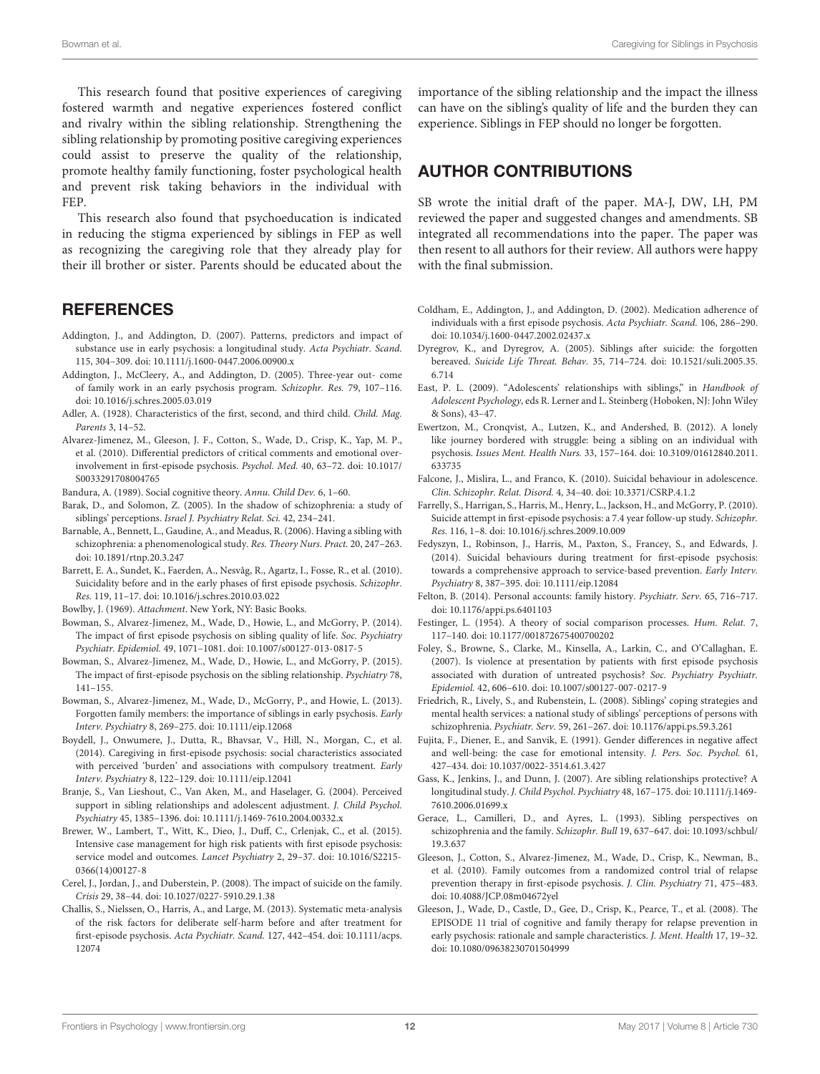This research found that positive experiences of caregiving fostered warmth and negative experiences fostered conflict and rivalry within the sibling relationship. Strengthening the sibling relationship by promoting positive caregiving experiences could assist to preserve the quality of the relationship, promote healthy family functioning, foster psychological health and prevent risk taking behaviors in the individual with FEP.

This research also found that psychoeducation is indicated in reducing the stigma experienced by siblings in FEP as well as recognizing the caregiving role that they already play for their ill brother or sister. Parents should be educated about the

### **REFERENCES**

- <span id="page-11-22"></span>Addington, J., and Addington, D. (2007). Patterns, predictors and impact of substance use in early psychosis: a longitudinal study. Acta Psychiatr. Scand. 115, 304–309. [doi: 10.1111/j.1600-0447.2006.00900.x](https://doi.org/10.1111/j.1600-0447.2006.00900.x)
- <span id="page-11-9"></span>Addington, J., McCleery, A., and Addington, D. (2005). Three-year out- come of family work in an early psychosis program. Schizophr. Res. 79, 107–116. [doi: 10.1016/j.schres.2005.03.019](https://doi.org/10.1016/j.schres.2005.03.019)
- <span id="page-11-2"></span>Adler, A. (1928). Characteristics of the first, second, and third child. Child. Mag. Parents 3, 14–52.
- <span id="page-11-11"></span>Alvarez-Jimenez, M., Gleeson, J. F., Cotton, S., Wade, D., Crisp, K., Yap, M. P., et al. (2010). Differential predictors of critical comments and emotional overinvolvement in first-episode psychosis. Psychol. Med. 40, 63–72. [doi: 10.1017/](https://doi.org/10.1017/S0033291708004765) [S0033291708004765](https://doi.org/10.1017/S0033291708004765)
- <span id="page-11-5"></span>Bandura, A. (1989). Social cognitive theory. Annu. Child Dev. 6, 1–60.
- <span id="page-11-14"></span>Barak, D., and Solomon, Z. (2005). In the shadow of schizophrenia: a study of siblings' perceptions. Israel J. Psychiatry Relat. Sci. 42, 234–241.
- <span id="page-11-15"></span>Barnable, A., Bennett, L., Gaudine, A., and Meadus, R. (2006). Having a sibling with schizophrenia: a phenomenological study. Res. Theory Nurs. Pract. 20, 247–263. [doi: 10.1891/rtnp.20.3.247](https://doi.org/10.1891/rtnp.20.3.247)
- <span id="page-11-27"></span>Barrett, E. A., Sundet, K., Faerden, A., Nesvåg, R., Agartz, I., Fosse, R., et al. (2010). Suicidality before and in the early phases of first episode psychosis. Schizophr. Res. 119, 11–17. [doi: 10.1016/j.schres.2010.03.022](https://doi.org/10.1016/j.schres.2010.03.022)

<span id="page-11-4"></span>Bowlby, J. (1969). Attachment. New York, NY: Basic Books.

- <span id="page-11-19"></span>Bowman, S., Alvarez-Jimenez, M., Wade, D., Howie, L., and McGorry, P. (2014). The impact of first episode psychosis on sibling quality of life. Soc. Psychiatry Psychiatr. Epidemiol. 49, 1071–1081. [doi: 10.1007/s00127-013-0817-5](https://doi.org/10.1007/s00127-013-0817-5)
- <span id="page-11-20"></span>Bowman, S., Alvarez-Jimenez, M., Wade, D., Howie, L., and McGorry, P. (2015). The impact of first-episode psychosis on the sibling relationship. Psychiatry 78, 141–155.
- <span id="page-11-8"></span>Bowman, S., Alvarez-Jimenez, M., Wade, D., McGorry, P., and Howie, L. (2013). Forgotten family members: the importance of siblings in early psychosis. Early Interv. Psychiatry 8, 269–275. [doi: 10.1111/eip.12068](https://doi.org/10.1111/eip.12068)
- <span id="page-11-12"></span>Boydell, J., Onwumere, J., Dutta, R., Bhavsar, V., Hill, N., Morgan, C., et al. (2014). Caregiving in first-episode psychosis: social characteristics associated with perceived 'burden' and associations with compulsory treatment. Early Interv. Psychiatry 8, 122–129. [doi: 10.1111/eip.12041](https://doi.org/10.1111/eip.12041)
- <span id="page-11-0"></span>Branje, S., Van Lieshout, C., Van Aken, M., and Haselager, G. (2004). Perceived support in sibling relationships and adolescent adjustment. J. Child Psychol. Psychiatry 45, 1385–1396. [doi: 10.1111/j.1469-7610.2004.00332.x](https://doi.org/10.1111/j.1469-7610.2004.00332.x)
- <span id="page-11-30"></span>Brewer, W., Lambert, T., Witt, K., Dieo, J., Duff, C., Crlenjak, C., et al. (2015). Intensive case management for high risk patients with first episode psychosis: service model and outcomes. Lancet Psychiatry 2, 29–37. [doi: 10.1016/S2215-](https://doi.org/10.1016/S2215-0366(14)00127-8) [0366\(14\)00127-8](https://doi.org/10.1016/S2215-0366(14)00127-8)
- <span id="page-11-29"></span>Cerel, J., Jordan, J., and Duberstein, P. (2008). The impact of suicide on the family. Crisis 29, 38–44. [doi: 10.1027/0227-5910.29.1.38](https://doi.org/10.1027/0227-5910.29.1.38)
- <span id="page-11-25"></span>Challis, S., Nielssen, O., Harris, A., and Large, M. (2013). Systematic meta-analysis of the risk factors for deliberate self-harm before and after treatment for first-episode psychosis. Acta Psychiatr. Scand. 127, 442–454. [doi: 10.1111/acps.](https://doi.org/10.1111/acps.12074) [12074](https://doi.org/10.1111/acps.12074)

importance of the sibling relationship and the impact the illness can have on the sibling's quality of life and the burden they can experience. Siblings in FEP should no longer be forgotten.

# AUTHOR CONTRIBUTIONS

SB wrote the initial draft of the paper. MA-J, DW, LH, PM reviewed the paper and suggested changes and amendments. SB integrated all recommendations into the paper. The paper was then resent to all authors for their review. All authors were happy with the final submission.

- <span id="page-11-21"></span>Coldham, E., Addington, J., and Addington, D. (2002). Medication adherence of individuals with a first episode psychosis. Acta Psychiatr. Scand. 106, 286–290. [doi: 10.1034/j.1600-0447.2002.02437.x](https://doi.org/10.1034/j.1600-0447.2002.02437.x)
- <span id="page-11-7"></span>Dyregrov, K., and Dyregrov, A. (2005). Siblings after suicide: the forgotten bereaved. Suicide Life Threat. Behav. 35, 714–724. [doi: 10.1521/suli.2005.35.](https://doi.org/10.1521/suli.2005.35.6.714) [6.714](https://doi.org/10.1521/suli.2005.35.6.714)
- <span id="page-11-24"></span>East, P. L. (2009). "Adolescents' relationships with siblings," in Handbook of Adolescent Psychology, eds R. Lerner and L. Steinberg (Hoboken, NJ: John Wiley & Sons), 43–47.
- <span id="page-11-17"></span>Ewertzon, M., Cronqvist, A., Lutzen, K., and Andershed, B. (2012). A lonely like journey bordered with struggle: being a sibling on an individual with psychosis. Issues Ment. Health Nurs. 33, 157–164. [doi: 10.3109/01612840.2011.](https://doi.org/10.3109/01612840.2011.633735) [633735](https://doi.org/10.3109/01612840.2011.633735)
- <span id="page-11-28"></span>Falcone, J., Mislira, L., and Franco, K. (2010). Suicidal behaviour in adolescence. Clin. Schizophr. Relat. Disord. 4, 34–40. [doi: 10.3371/CSRP.4.1.2](https://doi.org/10.3371/CSRP.4.1.2)
- <span id="page-11-23"></span>Farrelly, S., Harrigan, S., Harris, M., Henry, L., Jackson, H., and McGorry, P. (2010). Suicide attempt in first-episode psychosis: a 7.4 year follow-up study. Schizophr. Res. 116, 1–8. [doi: 10.1016/j.schres.2009.10.009](https://doi.org/10.1016/j.schres.2009.10.009)
- <span id="page-11-26"></span>Fedyszyn, I., Robinson, J., Harris, M., Paxton, S., Francey, S., and Edwards, J. (2014). Suicidal behaviours during treatment for first-episode psychosis: towards a comprehensive approach to service-based prevention. Early Interv. Psychiatry 8, 387–395. [doi: 10.1111/eip.12084](https://doi.org/10.1111/eip.12084)
- <span id="page-11-18"></span>Felton, B. (2014). Personal accounts: family history. Psychiatr. Serv. 65, 716–717. [doi: 10.1176/appi.ps.6401103](https://doi.org/10.1176/appi.ps.6401103)
- <span id="page-11-3"></span>Festinger, L. (1954). A theory of social comparison processes. Hum. Relat. 7, 117–140. [doi: 10.1177/001872675400700202](https://doi.org/10.1177/001872675400700202)
- <span id="page-11-31"></span>Foley, S., Browne, S., Clarke, M., Kinsella, A., Larkin, C., and O'Callaghan, E. (2007). Is violence at presentation by patients with first episode psychosis associated with duration of untreated psychosis? Soc. Psychiatry Psychiatr. Epidemiol. 42, 606–610. [doi: 10.1007/s00127-007-0217-9](https://doi.org/10.1007/s00127-007-0217-9)
- <span id="page-11-16"></span>Friedrich, R., Lively, S., and Rubenstein, L. (2008). Siblings' coping strategies and mental health services: a national study of siblings' perceptions of persons with schizophrenia. Psychiatr. Serv. 59, 261–267. [doi: 10.1176/appi.ps.59.3.261](https://doi.org/10.1176/appi.ps.59.3.261)
- <span id="page-11-32"></span>Fujita, F., Diener, E., and Sanvik, E. (1991). Gender differences in negative affect and well-being: the case for emotional intensity. J. Pers. Soc. Psychol. 61, 427–434. [doi: 10.1037/0022-3514.61.3.427](https://doi.org/10.1037/0022-3514.61.3.427)
- <span id="page-11-1"></span>Gass, K., Jenkins, J., and Dunn, J. (2007). Are sibling relationships protective? A longitudinal study. J. Child Psychol. Psychiatry 48, 167–175. [doi: 10.1111/j.1469-](https://doi.org/10.1111/j.1469-7610.2006.01699.x) [7610.2006.01699.x](https://doi.org/10.1111/j.1469-7610.2006.01699.x)
- <span id="page-11-13"></span>Gerace, L., Camilleri, D., and Ayres, L. (1993). Sibling perspectives on schizophrenia and the family. Schizophr. Bull 19, 637–647. [doi: 10.1093/schbul/](https://doi.org/10.1093/schbul/19.3.637) [19.3.637](https://doi.org/10.1093/schbul/19.3.637)
- <span id="page-11-10"></span>Gleeson, J., Cotton, S., Alvarez-Jimenez, M., Wade, D., Crisp, K., Newman, B., et al. (2010). Family outcomes from a randomized control trial of relapse prevention therapy in first-episode psychosis. J. Clin. Psychiatry 71, 475–483. [doi: 10.4088/JCP.08m04672yel](https://doi.org/10.4088/JCP.08m04672yel)
- <span id="page-11-6"></span>Gleeson, J., Wade, D., Castle, D., Gee, D., Crisp, K., Pearce, T., et al. (2008). The EPISODE 11 trial of cognitive and family therapy for relapse prevention in early psychosis: rationale and sample characteristics. J. Ment. Health 17, 19–32. [doi: 10.1080/09638230701504999](https://doi.org/10.1080/09638230701504999)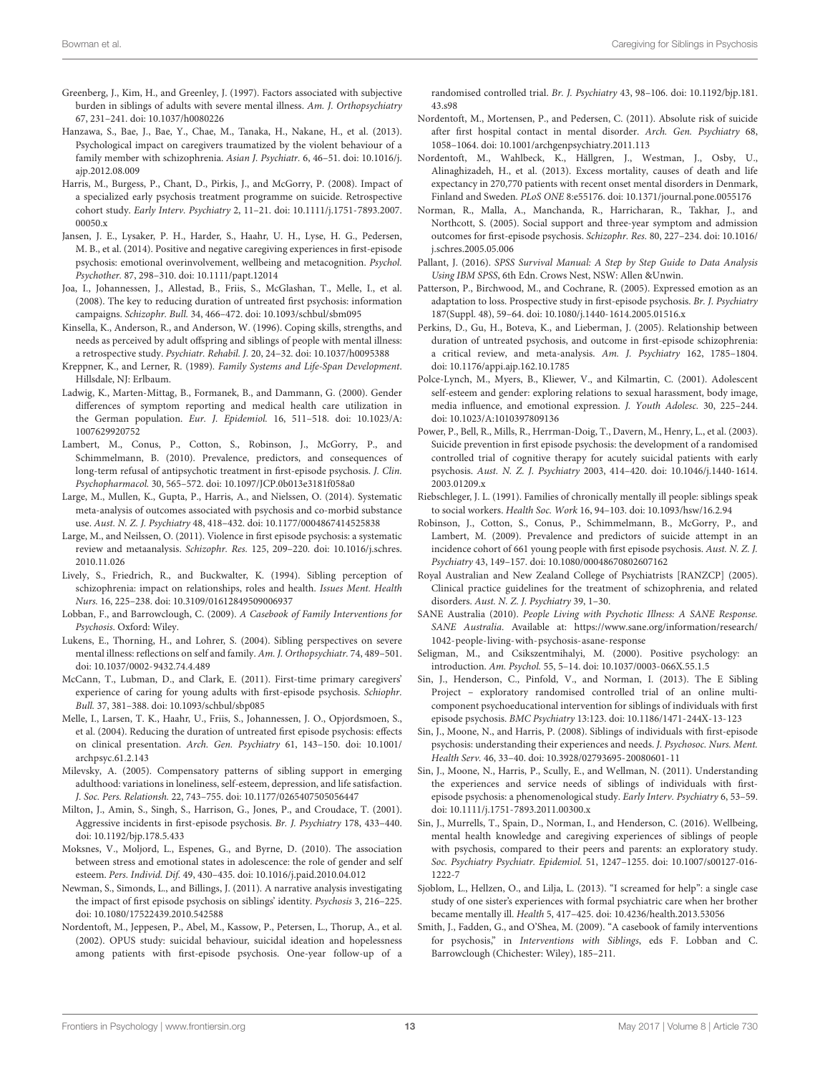- <span id="page-12-33"></span>Greenberg, J., Kim, H., and Greenley, J. (1997). Factors associated with subjective burden in siblings of adults with severe mental illness. Am. J. Orthopsychiatry 67, 231–241. [doi: 10.1037/h0080226](https://doi.org/10.1037/h0080226)
- <span id="page-12-32"></span>Hanzawa, S., Bae, J., Bae, Y., Chae, M., Tanaka, H., Nakane, H., et al. (2013). Psychological impact on caregivers traumatized by the violent behaviour of a family member with schizophrenia. Asian J. Psychiatr. 6, 46–51. [doi: 10.1016/j.](https://doi.org/10.1016/j.ajp.2012.08.009) [ajp.2012.08.009](https://doi.org/10.1016/j.ajp.2012.08.009)
- <span id="page-12-30"></span>Harris, M., Burgess, P., Chant, D., Pirkis, J., and McGorry, P. (2008). Impact of a specialized early psychosis treatment programme on suicide. Retrospective cohort study. Early Interv. Psychiatry 2, 11–21. [doi: 10.1111/j.1751-7893.2007.](https://doi.org/10.1111/j.1751-7893.2007.00050.x) [00050.x](https://doi.org/10.1111/j.1751-7893.2007.00050.x)
- <span id="page-12-7"></span>Jansen, J. E., Lysaker, P. H., Harder, S., Haahr, U. H., Lyse, H. G., Pedersen, M. B., et al. (2014). Positive and negative caregiving experiences in first-episode psychosis: emotional overinvolvement, wellbeing and metacognition. Psychol. Psychother. 87, 298–310. [doi: 10.1111/papt.12014](https://doi.org/10.1111/papt.12014)
- <span id="page-12-26"></span>Joa, I., Johannessen, J., Allestad, B., Friis, S., McGlashan, T., Melle, I., et al. (2008). The key to reducing duration of untreated first psychosis: information campaigns. Schizophr. Bull. 34, 466–472. [doi: 10.1093/schbul/sbm095](https://doi.org/10.1093/schbul/sbm095)
- <span id="page-12-20"></span>Kinsella, K., Anderson, R., and Anderson, W. (1996). Coping skills, strengths, and needs as perceived by adult offspring and siblings of people with mental illness: a retrospective study. Psychiatr. Rehabil. J. 20, 24–32. [doi: 10.1037/h0095388](https://doi.org/10.1037/h0095388)
- <span id="page-12-1"></span>Kreppner, K., and Lerner, R. (1989). Family Systems and Life-Span Development. Hillsdale, NJ: Erlbaum.
- <span id="page-12-39"></span>Ladwig, K., Marten-Mittag, B., Formanek, B., and Dammann, G. (2000). Gender differences of symptom reporting and medical health care utilization in the German population. Eur. J. Epidemiol. 16, 511–518. [doi: 10.1023/A:](https://doi.org/10.1023/A:1007629920752) [1007629920752](https://doi.org/10.1023/A:1007629920752)
- <span id="page-12-18"></span>Lambert, M., Conus, P., Cotton, S., Robinson, J., McGorry, P., and Schimmelmann, B. (2010). Prevalence, predictors, and consequences of long-term refusal of antipsychotic treatment in first-episode psychosis. J. Clin. Psychopharmacol. 30, 565–572. [doi: 10.1097/JCP.0b013e3181f058a0](https://doi.org/10.1097/JCP.0b013e3181f058a0)
- <span id="page-12-25"></span>Large, M., Mullen, K., Gupta, P., Harris, A., and Nielssen, O. (2014). Systematic meta-analysis of outcomes associated with psychosis and co-morbid substance use. Aust. N. Z. J. Psychiatry 48, 418–432. [doi: 10.1177/0004867414525838](https://doi.org/10.1177/0004867414525838)
- <span id="page-12-31"></span>Large, M., and Neilssen, O. (2011). Violence in first episode psychosis: a systematic review and metaanalysis. Schizophr. Res. 125, 209–220. [doi: 10.1016/j.schres.](https://doi.org/10.1016/j.schres.2010.11.026) [2010.11.026](https://doi.org/10.1016/j.schres.2010.11.026)
- <span id="page-12-8"></span>Lively, S., Friedrich, R., and Buckwalter, K. (1994). Sibling perception of schizophrenia: impact on relationships, roles and health. Issues Ment. Health Nurs. 16, 225–238. [doi: 10.3109/01612849509006937](https://doi.org/10.3109/01612849509006937)
- <span id="page-12-2"></span>Lobban, F., and Barrowclough, C. (2009). A Casebook of Family Interventions for Psychosis. Oxford: Wiley.
- <span id="page-12-9"></span>Lukens, E., Thorning, H., and Lohrer, S. (2004). Sibling perspectives on severe mental illness: reflections on self and family. Am. J. Orthopsychiatr. 74, 489–501. [doi: 10.1037/0002-9432.74.4.489](https://doi.org/10.1037/0002-9432.74.4.489)
- <span id="page-12-4"></span>McCann, T., Lubman, D., and Clark, E. (2011). First-time primary caregivers' experience of caring for young adults with first-episode psychosis. Schiophr. Bull. 37, 381–388. [doi: 10.1093/schbul/sbp085](https://doi.org/10.1093/schbul/sbp085)
- <span id="page-12-27"></span>Melle, I., Larsen, T. K., Haahr, U., Friis, S., Johannessen, J. O., Opjordsmoen, S., et al. (2004). Reducing the duration of untreated first episode psychosis: effects on clinical presentation. Arch. Gen. Psychiatry 61, 143–150. [doi: 10.1001/](https://doi.org/10.1001/archpsyc.61.2.143) [archpsyc.61.2.143](https://doi.org/10.1001/archpsyc.61.2.143)
- <span id="page-12-0"></span>Milevsky, A. (2005). Compensatory patterns of sibling support in emerging adulthood: variations in loneliness, self-esteem, depression, and life satisfaction. J. Soc. Pers. Relationsh. 22, 743–755. [doi: 10.1177/0265407505056447](https://doi.org/10.1177/0265407505056447)
- <span id="page-12-29"></span>Milton, J., Amin, S., Singh, S., Harrison, G., Jones, P., and Croudace, T. (2001). Aggressive incidents in first-episode psychosis. Br. J. Psychiatry 178, 433–440. [doi: 10.1192/bjp.178.5.433](https://doi.org/10.1192/bjp.178.5.433)
- <span id="page-12-38"></span>Moksnes, V., Moljord, L., Espenes, G., and Byrne, D. (2010). The association between stress and emotional states in adolescence: the role of gender and self esteem. Pers. Individ. Dif. 49, 430–435. [doi: 10.1016/j.paid.2010.04.012](https://doi.org/10.1016/j.paid.2010.04.012)
- <span id="page-12-11"></span>Newman, S., Simonds, L., and Billings, J. (2011). A narrative analysis investigating the impact of first episode psychosis on siblings' identity. Psychosis 3, 216–225. [doi: 10.1080/17522439.2010.542588](https://doi.org/10.1080/17522439.2010.542588)
- <span id="page-12-15"></span>Nordentoft, M., Jeppesen, P., Abel, M., Kassow, P., Petersen, L., Thorup, A., et al. (2002). OPUS study: suicidal behaviour, suicidal ideation and hopelessness among patients with first-episode psychosis. One-year follow-up of a

randomised controlled trial. Br. J. Psychiatry 43, 98–106. [doi: 10.1192/bjp.181.](https://doi.org/10.1192/bjp.181.43.s98) [43.s98](https://doi.org/10.1192/bjp.181.43.s98)

- <span id="page-12-23"></span>Nordentoft, M., Mortensen, P., and Pedersen, C. (2011). Absolute risk of suicide after first hospital contact in mental disorder. Arch. Gen. Psychiatry 68, 1058–1064. [doi: 10.1001/archgenpsychiatry.2011.113](https://doi.org/10.1001/archgenpsychiatry.2011.113)
- <span id="page-12-24"></span>Nordentoft, M., Wahlbeck, K., Hällgren, J., Westman, J., Osby, U., Alinaghizadeh, H., et al. (2013). Excess mortality, causes of death and life expectancy in 270,770 patients with recent onset mental disorders in Denmark, Finland and Sweden. PLoS ONE 8:e55176. [doi: 10.1371/journal.pone.0055176](https://doi.org/10.1371/journal.pone.0055176)
- <span id="page-12-34"></span>Norman, R., Malla, A., Manchanda, R., Harricharan, R., Takhar, J., and Northcott, S. (2005). Social support and three-year symptom and admission outcomes for first-episode psychosis. Schizophr. Res. 80, 227–234. [doi: 10.1016/](https://doi.org/10.1016/j.schres.2005.05.006) [j.schres.2005.05.006](https://doi.org/10.1016/j.schres.2005.05.006)
- <span id="page-12-21"></span>Pallant, J. (2016). SPSS Survival Manual: A Step by Step Guide to Data Analysis Using IBM SPSS, 6th Edn. Crows Nest, NSW: Allen &Unwin.
- <span id="page-12-6"></span>Patterson, P., Birchwood, M., and Cochrane, R. (2005). Expressed emotion as an adaptation to loss. Prospective study in first-episode psychosis. Br. J. Psychiatry 187(Suppl. 48), 59–64. [doi: 10.1080/j.1440-1614.2005.01516.x](https://doi.org/10.1080/j.1440-1614.2005.01516.x)
- <span id="page-12-19"></span>Perkins, D., Gu, H., Boteva, K., and Lieberman, J. (2005). Relationship between duration of untreated psychosis, and outcome in first-episode schizophrenia: a critical review, and meta-analysis. Am. J. Psychiatry 162, 1785–1804. [doi: 10.1176/appi.ajp.162.10.1785](https://doi.org/10.1176/appi.ajp.162.10.1785)
- <span id="page-12-37"></span>Polce-Lynch, M., Myers, B., Kliewer, V., and Kilmartin, C. (2001). Adolescent self-esteem and gender: exploring relations to sexual harassment, body image, media influence, and emotional expression. J. Youth Adolesc. 30, 225–244. [doi: 10.1023/A:1010397809136](https://doi.org/10.1023/A:1010397809136)
- <span id="page-12-16"></span>Power, P., Bell, R., Mills, R., Herrman-Doig, T., Davern, M., Henry, L., et al. (2003). Suicide prevention in first episode psychosis: the development of a randomised controlled trial of cognitive therapy for acutely suicidal patients with early psychosis. Aust. N. Z. J. Psychiatry 2003, 414–420. [doi: 10.1046/j.1440-1614.](https://doi.org/10.1046/j.1440-1614.2003.01209.x) [2003.01209.x](https://doi.org/10.1046/j.1440-1614.2003.01209.x)
- <span id="page-12-28"></span>Riebschleger, J. L. (1991). Families of chronically mentally ill people: siblings speak to social workers. Health Soc. Work 16, 94–103. [doi: 10.1093/hsw/16.2.94](https://doi.org/10.1093/hsw/16.2.94)
- <span id="page-12-17"></span>Robinson, J., Cotton, S., Conus, P., Schimmelmann, B., McGorry, P., and Lambert, M. (2009). Prevalence and predictors of suicide attempt in an incidence cohort of 661 young people with first episode psychosis. Aust. N. Z. J. Psychiatry 43, 149–157. [doi: 10.1080/00048670802607162](https://doi.org/10.1080/00048670802607162)
- <span id="page-12-3"></span>Royal Australian and New Zealand College of Psychiatrists [RANZCP] (2005). Clinical practice guidelines for the treatment of schizophrenia, and related disorders. Aust. N. Z. J. Psychiatry 39, 1–30.
- <span id="page-12-35"></span>SANE Australia (2010). People Living with Psychotic Illness: A SANE Response. SANE Australia. Available at: [https://www.sane.org/information/research/](https://www.sane.org/information/research/1042-people-living-with-psychosis-asane-response) [1042-people-living-with-psychosis-asane-response](https://www.sane.org/information/research/1042-people-living-with-psychosis-asane-response)
- <span id="page-12-36"></span>Seligman, M., and Csikszentmihalyi, M. (2000). Positive psychology: an introduction. Am. Psychol. 55, 5–14. [doi: 10.1037/0003-066X.55.1.5](https://doi.org/10.1037/0003-066X.55.1.5)
- <span id="page-12-13"></span>Sin, J., Henderson, C., Pinfold, V., and Norman, I. (2013). The E Sibling Project – exploratory randomised controlled trial of an online multicomponent psychoeducational intervention for siblings of individuals with first episode psychosis. BMC Psychiatry 13:123. [doi: 10.1186/1471-244X-13-123](https://doi.org/10.1186/1471-244X-13-123)
- <span id="page-12-14"></span>Sin, J., Moone, N., and Harris, P. (2008). Siblings of individuals with first-episode psychosis: understanding their experiences and needs. J. Psychosoc. Nurs. Ment. Health Serv. 46, 33–40. [doi: 10.3928/02793695-20080601-11](https://doi.org/10.3928/02793695-20080601-11)
- <span id="page-12-12"></span>Sin, J., Moone, N., Harris, P., Scully, E., and Wellman, N. (2011). Understanding the experiences and service needs of siblings of individuals with firstepisode psychosis: a phenomenological study. Early Interv. Psychiatry 6, 53–59. [doi: 10.1111/j.1751-7893.2011.00300.x](https://doi.org/10.1111/j.1751-7893.2011.00300.x)
- <span id="page-12-22"></span>Sin, J., Murrells, T., Spain, D., Norman, I., and Henderson, C. (2016). Wellbeing, mental health knowledge and caregiving experiences of siblings of people with psychosis, compared to their peers and parents: an exploratory study. Soc. Psychiatry Psychiatr. Epidemiol. 51, 1247–1255. [doi: 10.1007/s00127-016-](https://doi.org/10.1007/s00127-016-1222-7) [1222-7](https://doi.org/10.1007/s00127-016-1222-7)
- <span id="page-12-10"></span>Sjoblom, L., Hellzen, O., and Lilja, L. (2013). "I screamed for help": a single case study of one sister's experiences with formal psychiatric care when her brother became mentally ill. Health 5, 417–425. [doi: 10.4236/health.2013.53056](https://doi.org/10.4236/health.2013.53056)
- <span id="page-12-5"></span>Smith, J., Fadden, G., and O'Shea, M. (2009). "A casebook of family interventions for psychosis," in Interventions with Siblings, eds F. Lobban and C. Barrowclough (Chichester: Wiley), 185–211.